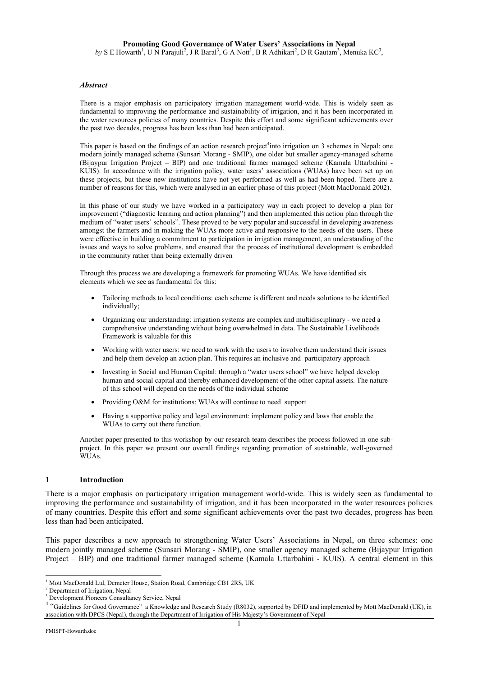# **Promoting Good Governance of Water Users' Associations in Nepal**

 $by S E$  Howarth<sup>1</sup>, U N Parajuli<sup>2</sup>, J R Baral<sup>3</sup>, G A Nott<sup>1</sup>, B R Adhikari<sup>2</sup>, D R Gautam<sup>3</sup>, Menuka KC<sup>3</sup>,

#### *Abstract*

There is a major emphasis on participatory irrigation management world-wide. This is widely seen as fundamental to improving the performance and sustainability of irrigation, and it has been incorporated in the water resources policies of many countries. Despite this effort and some significant achievements over the past two decades, progress has been less than had been anticipated.

This paper is based on the findings of an action research project<sup>4</sup>into irrigation on 3 schemes in Nepal: one modern jointly managed scheme (Sunsari Morang - SMIP), one older but smaller agency-managed scheme (Bijaypur Irrigation Project – BIP) and one traditional farmer managed scheme (Kamala Uttarbahini - KUIS). In accordance with the irrigation policy, water users' associations (WUAs) have been set up on these projects, but these new institutions have not yet performed as well as had been hoped. There are a number of reasons for this, which were analysed in an earlier phase of this project (Mott MacDonald 2002).

In this phase of our study we have worked in a participatory way in each project to develop a plan for improvement ("diagnostic learning and action planning") and then implemented this action plan through the medium of "water users' schools". These proved to be very popular and successful in developing awareness amongst the farmers and in making the WUAs more active and responsive to the needs of the users. These were effective in building a commitment to participation in irrigation management, an understanding of the issues and ways to solve problems, and ensured that the process of institutional development is embedded in the community rather than being externally driven

Through this process we are developing a framework for promoting WUAs. We have identified six elements which we see as fundamental for this:

- Tailoring methods to local conditions: each scheme is different and needs solutions to be identified individually;
- Organizing our understanding: irrigation systems are complex and multidisciplinary we need a comprehensive understanding without being overwhelmed in data. The Sustainable Livelihoods Framework is valuable for this
- Working with water users: we need to work with the users to involve them understand their issues and help them develop an action plan. This requires an inclusive and participatory approach
- Investing in Social and Human Capital: through a "water users school" we have helped develop human and social capital and thereby enhanced development of the other capital assets. The nature of this school will depend on the needs of the individual scheme
- Providing O&M for institutions: WUAs will continue to need support
- Having a supportive policy and legal environment: implement policy and laws that enable the WUAs to carry out there function.

Another paper presented to this workshop by our research team describes the process followed in one subproject. In this paper we present our overall findings regarding promotion of sustainable, well-governed WUAs.

#### **1 Introduction**

There is a major emphasis on participatory irrigation management world-wide. This is widely seen as fundamental to improving the performance and sustainability of irrigation, and it has been incorporated in the water resources policies of many countries. Despite this effort and some significant achievements over the past two decades, progress has been less than had been anticipated.

This paper describes a new approach to strengthening Water Users' Associations in Nepal, on three schemes: one modern jointly managed scheme (Sunsari Morang - SMIP), one smaller agency managed scheme (Bijaypur Irrigation Project – BIP) and one traditional farmer managed scheme (Kamala Uttarbahini - KUIS). A central element in this

 $\overline{a}$ <sup>1</sup> Mott MacDonald Ltd, Demeter House, Station Road, Cambridge CB1 2RS, UK <sup>2</sup> Department of Irrigation, Napal

<sup>&</sup>lt;sup>2</sup> Department of Irrigation, Nepal

<sup>3</sup> Development Pioneers Consultancy Service, Nepal

<sup>&</sup>lt;sup>4</sup> "Guidelines for Good Governance" a Knowledge and Research Study (R8032), supported by DFID and implemented by Mott MacDonald (UK), in association with DPCS (Nepal), through the Department of Irrigation of His Majesty's Government of Nepal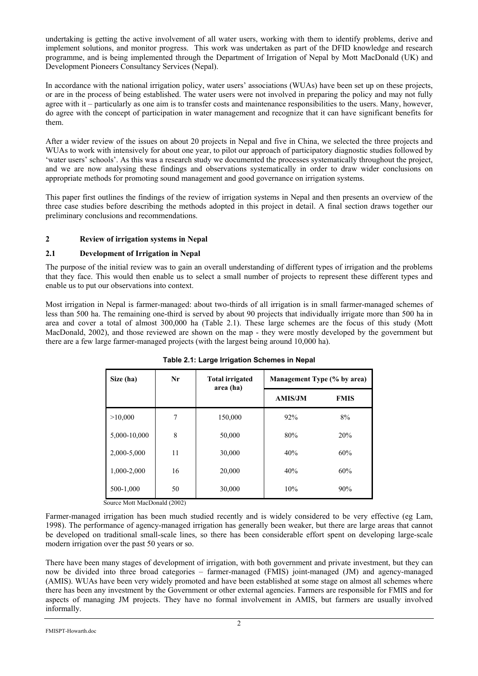undertaking is getting the active involvement of all water users, working with them to identify problems, derive and implement solutions, and monitor progress. This work was undertaken as part of the DFID knowledge and research programme, and is being implemented through the Department of Irrigation of Nepal by Mott MacDonald (UK) and Development Pioneers Consultancy Services (Nepal).

In accordance with the national irrigation policy, water users' associations (WUAs) have been set up on these projects, or are in the process of being established. The water users were not involved in preparing the policy and may not fully agree with it – particularly as one aim is to transfer costs and maintenance responsibilities to the users. Many, however, do agree with the concept of participation in water management and recognize that it can have significant benefits for them.

After a wider review of the issues on about 20 projects in Nepal and five in China, we selected the three projects and WUAs to work with intensively for about one year, to pilot our approach of participatory diagnostic studies followed by 'water users' schools'. As this was a research study we documented the processes systematically throughout the project, and we are now analysing these findings and observations systematically in order to draw wider conclusions on appropriate methods for promoting sound management and good governance on irrigation systems.

This paper first outlines the findings of the review of irrigation systems in Nepal and then presents an overview of the three case studies before describing the methods adopted in this project in detail. A final section draws together our preliminary conclusions and recommendations.

# **2 Review of irrigation systems in Nepal**

# **2.1 Development of Irrigation in Nepal**

The purpose of the initial review was to gain an overall understanding of different types of irrigation and the problems that they face. This would then enable us to select a small number of projects to represent these different types and enable us to put our observations into context.

Most irrigation in Nepal is farmer-managed: about two-thirds of all irrigation is in small farmer-managed schemes of less than 500 ha. The remaining one-third is served by about 90 projects that individually irrigate more than 500 ha in area and cover a total of almost 300,000 ha (Table 2.1). These large schemes are the focus of this study (Mott MacDonald, 2002), and those reviewed are shown on the map - they were mostly developed by the government but there are a few large farmer-managed projects (with the largest being around 10,000 ha).

| Size (ha)    | Nr | <b>Total irrigated</b><br>area (ha) | Management Type (% by area) |             |  |
|--------------|----|-------------------------------------|-----------------------------|-------------|--|
|              |    |                                     | <b>AMIS/JM</b>              | <b>FMIS</b> |  |
| >10,000      | 7  | 150,000                             | 92%                         | 8%          |  |
| 5,000-10,000 | 8  | 50,000                              | 80%                         | 20%         |  |
| 2,000-5,000  | 11 | 30,000                              | 40%                         | 60%         |  |
| 1,000-2,000  | 16 | 20,000                              | 40%                         | 60%         |  |
| 500-1,000    | 50 | 30,000                              | 10%                         | 90%         |  |

# **Table 2.1: Large Irrigation Schemes in Nepal**

Source Mott MacDonald (2002)

Farmer-managed irrigation has been much studied recently and is widely considered to be very effective (eg Lam, 1998). The performance of agency-managed irrigation has generally been weaker, but there are large areas that cannot be developed on traditional small-scale lines, so there has been considerable effort spent on developing large-scale modern irrigation over the past 50 years or so.

There have been many stages of development of irrigation, with both government and private investment, but they can now be divided into three broad categories – farmer-managed (FMIS) joint-managed (JM) and agency-managed (AMIS). WUAs have been very widely promoted and have been established at some stage on almost all schemes where there has been any investment by the Government or other external agencies. Farmers are responsible for FMIS and for aspects of managing JM projects. They have no formal involvement in AMIS, but farmers are usually involved informally.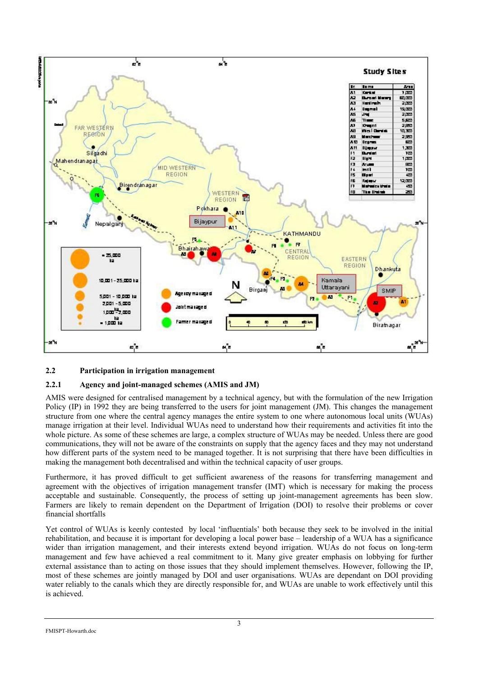

# **2.2 Participation in irrigation management**

# **2.2.1 Agency and joint-managed schemes (AMIS and JM)**

AMIS were designed for centralised management by a technical agency, but with the formulation of the new Irrigation Policy (IP) in 1992 they are being transferred to the users for joint management (JM). This changes the management structure from one where the central agency manages the entire system to one where autonomous local units (WUAs) manage irrigation at their level. Individual WUAs need to understand how their requirements and activities fit into the whole picture. As some of these schemes are large, a complex structure of WUAs may be needed. Unless there are good communications, they will not be aware of the constraints on supply that the agency faces and they may not understand how different parts of the system need to be managed together. It is not surprising that there have been difficulties in making the management both decentralised and within the technical capacity of user groups.

Furthermore, it has proved difficult to get sufficient awareness of the reasons for transferring management and agreement with the objectives of irrigation management transfer (IMT) which is necessary for making the process acceptable and sustainable. Consequently, the process of setting up joint-management agreements has been slow. Farmers are likely to remain dependent on the Department of Irrigation (DOI) to resolve their problems or cover financial shortfalls

Yet control of WUAs is keenly contested by local 'influentials' both because they seek to be involved in the initial rehabilitation, and because it is important for developing a local power base – leadership of a WUA has a significance wider than irrigation management, and their interests extend beyond irrigation. WUAs do not focus on long-term management and few have achieved a real commitment to it. Many give greater emphasis on lobbying for further external assistance than to acting on those issues that they should implement themselves. However, following the IP, most of these schemes are jointly managed by DOI and user organisations. WUAs are dependant on DOI providing water reliably to the canals which they are directly responsible for, and WUAs are unable to work effectively until this is achieved.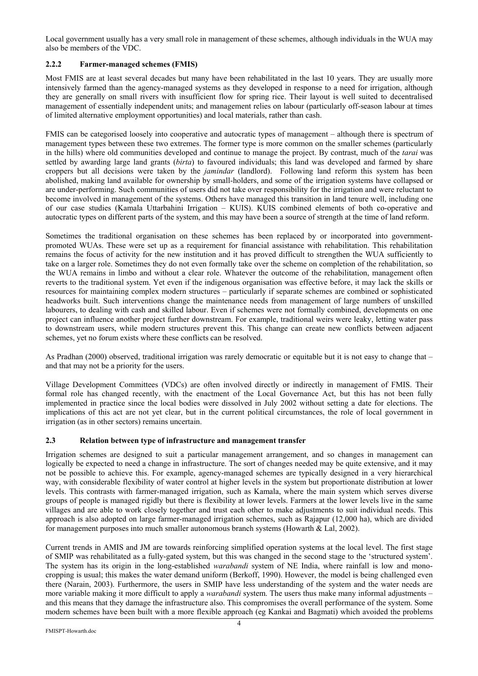Local government usually has a very small role in management of these schemes, although individuals in the WUA may also be members of the VDC.

# **2.2.2 Farmer-managed schemes (FMIS)**

Most FMIS are at least several decades but many have been rehabilitated in the last 10 years. They are usually more intensively farmed than the agency-managed systems as they developed in response to a need for irrigation, although they are generally on small rivers with insufficient flow for spring rice. Their layout is well suited to decentralised management of essentially independent units; and management relies on labour (particularly off-season labour at times of limited alternative employment opportunities) and local materials, rather than cash.

FMIS can be categorised loosely into cooperative and autocratic types of management – although there is spectrum of management types between these two extremes. The former type is more common on the smaller schemes (particularly in the hills) where old communities developed and continue to manage the project. By contrast, much of the *tarai* was settled by awarding large land grants (*birta*) to favoured individuals; this land was developed and farmed by share croppers but all decisions were taken by the *jamindar* (landlord). Following land reform this system has been abolished, making land available for ownership by small-holders, and some of the irrigation systems have collapsed or are under-performing. Such communities of users did not take over responsibility for the irrigation and were reluctant to become involved in management of the systems. Others have managed this transition in land tenure well, including one of our case studies (Kamala Uttarbahini Irrigation – KUIS). KUIS combined elements of both co-operative and autocratic types on different parts of the system, and this may have been a source of strength at the time of land reform.

Sometimes the traditional organisation on these schemes has been replaced by or incorporated into governmentpromoted WUAs. These were set up as a requirement for financial assistance with rehabilitation. This rehabilitation remains the focus of activity for the new institution and it has proved difficult to strengthen the WUA sufficiently to take on a larger role. Sometimes they do not even formally take over the scheme on completion of the rehabilitation, so the WUA remains in limbo and without a clear role. Whatever the outcome of the rehabilitation, management often reverts to the traditional system. Yet even if the indigenous organisation was effective before, it may lack the skills or resources for maintaining complex modern structures – particularly if separate schemes are combined or sophisticated headworks built. Such interventions change the maintenance needs from management of large numbers of unskilled labourers, to dealing with cash and skilled labour. Even if schemes were not formally combined, developments on one project can influence another project further downstream. For example, traditional weirs were leaky, letting water pass to downstream users, while modern structures prevent this. This change can create new conflicts between adjacent schemes, yet no forum exists where these conflicts can be resolved.

As Pradhan (2000) observed, traditional irrigation was rarely democratic or equitable but it is not easy to change that – and that may not be a priority for the users.

Village Development Committees (VDCs) are often involved directly or indirectly in management of FMIS. Their formal role has changed recently, with the enactment of the Local Governance Act, but this has not been fully implemented in practice since the local bodies were dissolved in July 2002 without setting a date for elections. The implications of this act are not yet clear, but in the current political circumstances, the role of local government in irrigation (as in other sectors) remains uncertain.

# **2.3 Relation between type of infrastructure and management transfer**

Irrigation schemes are designed to suit a particular management arrangement, and so changes in management can logically be expected to need a change in infrastructure. The sort of changes needed may be quite extensive, and it may not be possible to achieve this. For example, agency-managed schemes are typically designed in a very hierarchical way, with considerable flexibility of water control at higher levels in the system but proportionate distribution at lower levels. This contrasts with farmer-managed irrigation, such as Kamala, where the main system which serves diverse groups of people is managed rigidly but there is flexibility at lower levels. Farmers at the lower levels live in the same villages and are able to work closely together and trust each other to make adjustments to suit individual needs. This approach is also adopted on large farmer-managed irrigation schemes, such as Rajapur (12,000 ha), which are divided for management purposes into much smaller autonomous branch systems (Howarth & Lal, 2002).

Current trends in AMIS and JM are towards reinforcing simplified operation systems at the local level. The first stage of SMIP was rehabilitated as a fully-gated system, but this was changed in the second stage to the 'structured system'. The system has its origin in the long-established *warabandi* system of NE India, where rainfall is low and monocropping is usual; this makes the water demand uniform (Berkoff, 1990). However, the model is being challenged even there (Narain, 2003). Furthermore, the users in SMIP have less understanding of the system and the water needs are more variable making it more difficult to apply a *warabandi* system. The users thus make many informal adjustments – and this means that they damage the infrastructure also. This compromises the overall performance of the system. Some modern schemes have been built with a more flexible approach (eg Kankai and Bagmati) which avoided the problems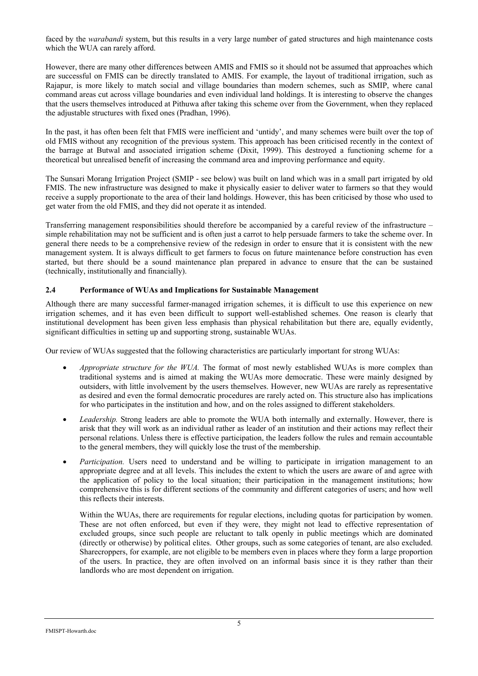faced by the *warabandi* system, but this results in a very large number of gated structures and high maintenance costs which the WUA can rarely afford.

However, there are many other differences between AMIS and FMIS so it should not be assumed that approaches which are successful on FMIS can be directly translated to AMIS. For example, the layout of traditional irrigation, such as Rajapur, is more likely to match social and village boundaries than modern schemes, such as SMIP, where canal command areas cut across village boundaries and even individual land holdings. It is interesting to observe the changes that the users themselves introduced at Pithuwa after taking this scheme over from the Government, when they replaced the adjustable structures with fixed ones (Pradhan, 1996).

In the past, it has often been felt that FMIS were inefficient and 'untidy', and many schemes were built over the top of old FMIS without any recognition of the previous system. This approach has been criticised recently in the context of the barrage at Butwal and associated irrigation scheme (Dixit, 1999). This destroyed a functioning scheme for a theoretical but unrealised benefit of increasing the command area and improving performance and equity.

The Sunsari Morang Irrigation Project (SMIP - see below) was built on land which was in a small part irrigated by old FMIS. The new infrastructure was designed to make it physically easier to deliver water to farmers so that they would receive a supply proportionate to the area of their land holdings. However, this has been criticised by those who used to get water from the old FMIS, and they did not operate it as intended.

Transferring management responsibilities should therefore be accompanied by a careful review of the infrastructure – simple rehabilitation may not be sufficient and is often just a carrot to help persuade farmers to take the scheme over. In general there needs to be a comprehensive review of the redesign in order to ensure that it is consistent with the new management system. It is always difficult to get farmers to focus on future maintenance before construction has even started, but there should be a sound maintenance plan prepared in advance to ensure that the can be sustained (technically, institutionally and financially).

## **2.4 Performance of WUAs and Implications for Sustainable Management**

Although there are many successful farmer-managed irrigation schemes, it is difficult to use this experience on new irrigation schemes, and it has even been difficult to support well-established schemes. One reason is clearly that institutional development has been given less emphasis than physical rehabilitation but there are, equally evidently, significant difficulties in setting up and supporting strong, sustainable WUAs.

Our review of WUAs suggested that the following characteristics are particularly important for strong WUAs:

- *Appropriate structure for the WUA.* The format of most newly established WUAs is more complex than traditional systems and is aimed at making the WUAs more democratic. These were mainly designed by outsiders, with little involvement by the users themselves. However, new WUAs are rarely as representative as desired and even the formal democratic procedures are rarely acted on. This structure also has implications for who participates in the institution and how, and on the roles assigned to different stakeholders.
- *Leadership.* Strong leaders are able to promote the WUA both internally and externally. However, there is arisk that they will work as an individual rather as leader of an institution and their actions may reflect their personal relations. Unless there is effective participation, the leaders follow the rules and remain accountable to the general members, they will quickly lose the trust of the membership.
- *Participation.* Users need to understand and be willing to participate in irrigation management to an appropriate degree and at all levels. This includes the extent to which the users are aware of and agree with the application of policy to the local situation; their participation in the management institutions; how comprehensive this is for different sections of the community and different categories of users; and how well this reflects their interests.

Within the WUAs, there are requirements for regular elections, including quotas for participation by women. These are not often enforced, but even if they were, they might not lead to effective representation of excluded groups, since such people are reluctant to talk openly in public meetings which are dominated (directly or otherwise) by political elites. Other groups, such as some categories of tenant, are also excluded. Sharecroppers, for example, are not eligible to be members even in places where they form a large proportion of the users. In practice, they are often involved on an informal basis since it is they rather than their landlords who are most dependent on irrigation.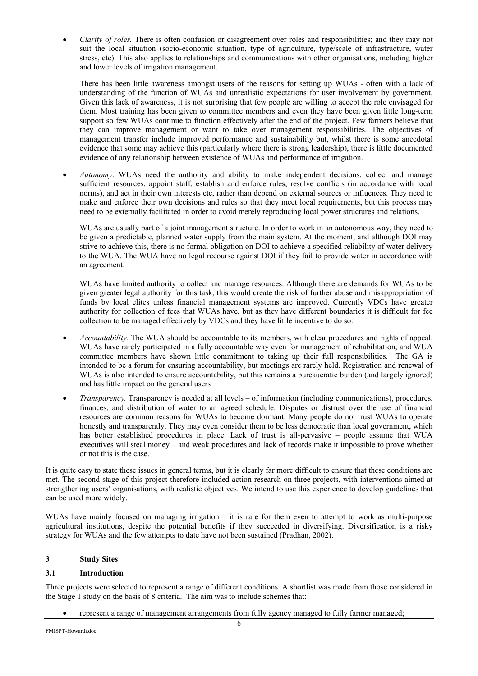• *Clarity of roles.* There is often confusion or disagreement over roles and responsibilities; and they may not suit the local situation (socio-economic situation, type of agriculture, type/scale of infrastructure, water stress, etc). This also applies to relationships and communications with other organisations, including higher and lower levels of irrigation management.

There has been little awareness amongst users of the reasons for setting up WUAs - often with a lack of understanding of the function of WUAs and unrealistic expectations for user involvement by government. Given this lack of awareness, it is not surprising that few people are willing to accept the role envisaged for them. Most training has been given to committee members and even they have been given little long-term support so few WUAs continue to function effectively after the end of the project. Few farmers believe that they can improve management or want to take over management responsibilities. The objectives of management transfer include improved performance and sustainability but, whilst there is some anecdotal evidence that some may achieve this (particularly where there is strong leadership), there is little documented evidence of any relationship between existence of WUAs and performance of irrigation.

• *Autonomy*. WUAs need the authority and ability to make independent decisions, collect and manage sufficient resources, appoint staff, establish and enforce rules, resolve conflicts (in accordance with local norms), and act in their own interests etc, rather than depend on external sources or influences. They need to make and enforce their own decisions and rules so that they meet local requirements, but this process may need to be externally facilitated in order to avoid merely reproducing local power structures and relations.

WUAs are usually part of a joint management structure. In order to work in an autonomous way, they need to be given a predictable, planned water supply from the main system. At the moment, and although DOI may strive to achieve this, there is no formal obligation on DOI to achieve a specified reliability of water delivery to the WUA. The WUA have no legal recourse against DOI if they fail to provide water in accordance with an agreement.

WUAs have limited authority to collect and manage resources. Although there are demands for WUAs to be given greater legal authority for this task, this would create the risk of further abuse and misappropriation of funds by local elites unless financial management systems are improved. Currently VDCs have greater authority for collection of fees that WUAs have, but as they have different boundaries it is difficult for fee collection to be managed effectively by VDCs and they have little incentive to do so.

- *Accountability.* The WUA should be accountable to its members, with clear procedures and rights of appeal. WUAs have rarely participated in a fully accountable way even for management of rehabilitation, and WUA committee members have shown little commitment to taking up their full responsibilities. The GA is intended to be a forum for ensuring accountability, but meetings are rarely held. Registration and renewal of WUAs is also intended to ensure accountability, but this remains a bureaucratic burden (and largely ignored) and has little impact on the general users
- *Transparency.* Transparency is needed at all levels of information (including communications), procedures, finances, and distribution of water to an agreed schedule. Disputes or distrust over the use of financial resources are common reasons for WUAs to become dormant. Many people do not trust WUAs to operate honestly and transparently. They may even consider them to be less democratic than local government, which has better established procedures in place. Lack of trust is all-pervasive – people assume that WUA executives will steal money – and weak procedures and lack of records make it impossible to prove whether or not this is the case.

It is quite easy to state these issues in general terms, but it is clearly far more difficult to ensure that these conditions are met. The second stage of this project therefore included action research on three projects, with interventions aimed at strengthening users' organisations, with realistic objectives. We intend to use this experience to develop guidelines that can be used more widely.

WUAs have mainly focused on managing irrigation – it is rare for them even to attempt to work as multi-purpose agricultural institutions, despite the potential benefits if they succeeded in diversifying. Diversification is a risky strategy for WUAs and the few attempts to date have not been sustained (Pradhan, 2002).

# **3 Study Sites**

# **3.1 Introduction**

Three projects were selected to represent a range of different conditions. A shortlist was made from those considered in the Stage 1 study on the basis of 8 criteria. The aim was to include schemes that:

• represent a range of management arrangements from fully agency managed to fully farmer managed;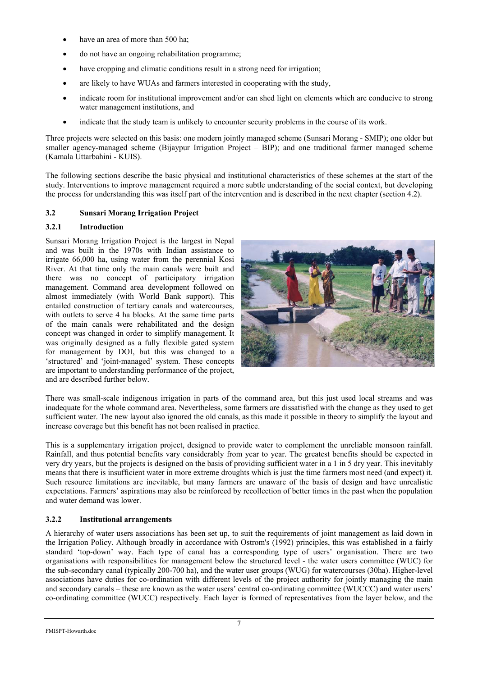- have an area of more than 500 ha;
- do not have an ongoing rehabilitation programme;
- have cropping and climatic conditions result in a strong need for irrigation;
- are likely to have WUAs and farmers interested in cooperating with the study,
- indicate room for institutional improvement and/or can shed light on elements which are conducive to strong water management institutions, and
- indicate that the study team is unlikely to encounter security problems in the course of its work.

Three projects were selected on this basis: one modern jointly managed scheme (Sunsari Morang - SMIP); one older but smaller agency-managed scheme (Bijaypur Irrigation Project – BIP); and one traditional farmer managed scheme (Kamala Uttarbahini - KUIS).

The following sections describe the basic physical and institutional characteristics of these schemes at the start of the study. Interventions to improve management required a more subtle understanding of the social context, but developing the process for understanding this was itself part of the intervention and is described in the next chapter (section 4.2).

# **3.2 Sunsari Morang Irrigation Project**

# **3.2.1 Introduction**

Sunsari Morang Irrigation Project is the largest in Nepal and was built in the 1970s with Indian assistance to irrigate 66,000 ha, using water from the perennial Kosi River. At that time only the main canals were built and there was no concept of participatory irrigation management. Command area development followed on almost immediately (with World Bank support). This entailed construction of tertiary canals and watercourses, with outlets to serve 4 ha blocks. At the same time parts of the main canals were rehabilitated and the design concept was changed in order to simplify management. It was originally designed as a fully flexible gated system for management by DOI, but this was changed to a 'structured' and 'joint-managed' system. These concepts are important to understanding performance of the project, and are described further below.



There was small-scale indigenous irrigation in parts of the command area, but this just used local streams and was inadequate for the whole command area. Nevertheless, some farmers are dissatisfied with the change as they used to get sufficient water. The new layout also ignored the old canals, as this made it possible in theory to simplify the layout and increase coverage but this benefit has not been realised in practice.

This is a supplementary irrigation project, designed to provide water to complement the unreliable monsoon rainfall. Rainfall, and thus potential benefits vary considerably from year to year. The greatest benefits should be expected in very dry years, but the projects is designed on the basis of providing sufficient water in a 1 in 5 dry year. This inevitably means that there is insufficient water in more extreme droughts which is just the time farmers most need (and expect) it. Such resource limitations are inevitable, but many farmers are unaware of the basis of design and have unrealistic expectations. Farmers' aspirations may also be reinforced by recollection of better times in the past when the population and water demand was lower.

# **3.2.2 Institutional arrangements**

A hierarchy of water users associations has been set up, to suit the requirements of joint management as laid down in the Irrigation Policy. Although broadly in accordance with Ostrom's (1992) principles, this was established in a fairly standard 'top-down' way. Each type of canal has a corresponding type of users' organisation. There are two organisations with responsibilities for management below the structured level - the water users committee (WUC) for the sub-secondary canal (typically 200-700 ha), and the water user groups (WUG) for watercourses (30ha). Higher-level associations have duties for co-ordination with different levels of the project authority for jointly managing the main and secondary canals – these are known as the water users' central co-ordinating committee (WUCCC) and water users' co-ordinating committee (WUCC) respectively. Each layer is formed of representatives from the layer below, and the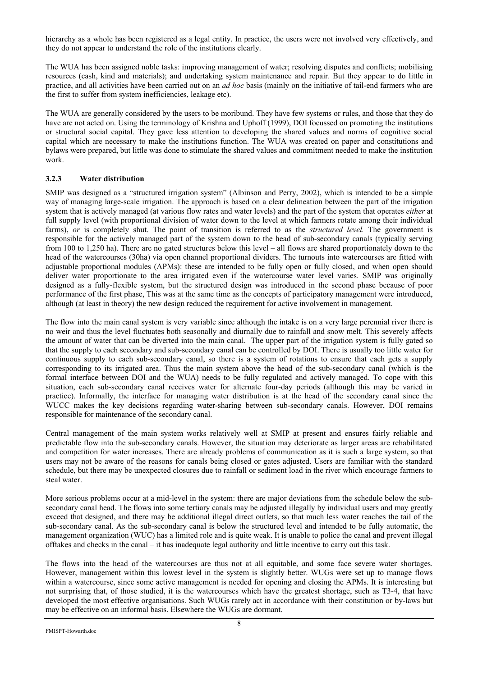hierarchy as a whole has been registered as a legal entity. In practice, the users were not involved very effectively, and they do not appear to understand the role of the institutions clearly.

The WUA has been assigned noble tasks: improving management of water; resolving disputes and conflicts; mobilising resources (cash, kind and materials); and undertaking system maintenance and repair. But they appear to do little in practice, and all activities have been carried out on an *ad hoc* basis (mainly on the initiative of tail-end farmers who are the first to suffer from system inefficiencies, leakage etc).

The WUA are generally considered by the users to be moribund. They have few systems or rules, and those that they do have are not acted on. Using the terminology of Krishna and Uphoff (1999), DOI focussed on promoting the institutions or structural social capital. They gave less attention to developing the shared values and norms of cognitive social capital which are necessary to make the institutions function. The WUA was created on paper and constitutions and bylaws were prepared, but little was done to stimulate the shared values and commitment needed to make the institution work.

# **3.2.3 Water distribution**

SMIP was designed as a "structured irrigation system" (Albinson and Perry, 2002), which is intended to be a simple way of managing large-scale irrigation. The approach is based on a clear delineation between the part of the irrigation system that is actively managed (at various flow rates and water levels) and the part of the system that operates *either* at full supply level (with proportional division of water down to the level at which farmers rotate among their individual farms), *or* is completely shut. The point of transition is referred to as the *structured level.* The government is responsible for the actively managed part of the system down to the head of sub-secondary canals (typically serving from 100 to 1,250 ha). There are no gated structures below this level – all flows are shared proportionately down to the head of the watercourses (30ha) via open channel proportional dividers. The turnouts into watercourses are fitted with adjustable proportional modules (APMs): these are intended to be fully open or fully closed, and when open should deliver water proportionate to the area irrigated even if the watercourse water level varies. SMIP was originally designed as a fully-flexible system, but the structured design was introduced in the second phase because of poor performance of the first phase, This was at the same time as the concepts of participatory management were introduced, although (at least in theory) the new design reduced the requirement for active involvement in management.

The flow into the main canal system is very variable since although the intake is on a very large perennial river there is no weir and thus the level fluctuates both seasonally and diurnally due to rainfall and snow melt. This severely affects the amount of water that can be diverted into the main canal. The upper part of the irrigation system is fully gated so that the supply to each secondary and sub-secondary canal can be controlled by DOI. There is usually too little water for continuous supply to each sub-secondary canal, so there is a system of rotations to ensure that each gets a supply corresponding to its irrigated area. Thus the main system above the head of the sub-secondary canal (which is the formal interface between DOI and the WUA) needs to be fully regulated and actively managed. To cope with this situation, each sub-secondary canal receives water for alternate four-day periods (although this may be varied in practice). Informally, the interface for managing water distribution is at the head of the secondary canal since the WUCC makes the key decisions regarding water-sharing between sub-secondary canals. However, DOI remains responsible for maintenance of the secondary canal.

Central management of the main system works relatively well at SMIP at present and ensures fairly reliable and predictable flow into the sub-secondary canals. However, the situation may deteriorate as larger areas are rehabilitated and competition for water increases. There are already problems of communication as it is such a large system, so that users may not be aware of the reasons for canals being closed or gates adjusted. Users are familiar with the standard schedule, but there may be unexpected closures due to rainfall or sediment load in the river which encourage farmers to steal water.

More serious problems occur at a mid-level in the system: there are major deviations from the schedule below the subsecondary canal head. The flows into some tertiary canals may be adjusted illegally by individual users and may greatly exceed that designed, and there may be additional illegal direct outlets, so that much less water reaches the tail of the sub-secondary canal. As the sub-secondary canal is below the structured level and intended to be fully automatic, the management organization (WUC) has a limited role and is quite weak. It is unable to police the canal and prevent illegal offtakes and checks in the canal – it has inadequate legal authority and little incentive to carry out this task.

The flows into the head of the watercourses are thus not at all equitable, and some face severe water shortages. However, management within this lowest level in the system is slightly better. WUGs were set up to manage flows within a watercourse, since some active management is needed for opening and closing the APMs. It is interesting but not surprising that, of those studied, it is the watercourses which have the greatest shortage, such as T3-4, that have developed the most effective organisations. Such WUGs rarely act in accordance with their constitution or by-laws but may be effective on an informal basis. Elsewhere the WUGs are dormant.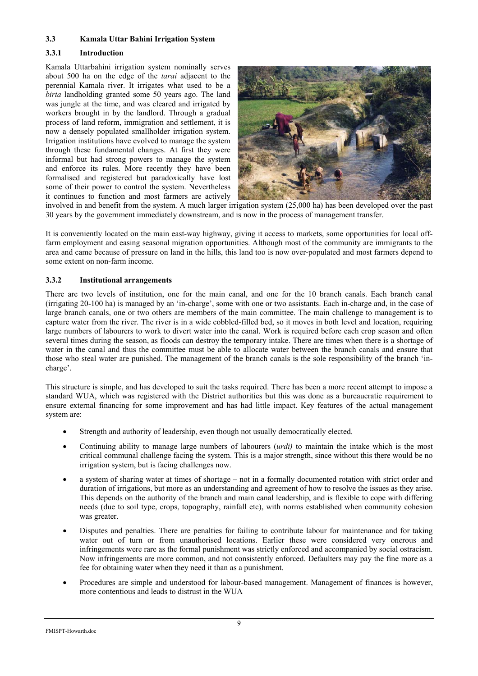## **3.3 Kamala Uttar Bahini Irrigation System**

## **3.3.1 Introduction**

Kamala Uttarbahini irrigation system nominally serves about 500 ha on the edge of the *tarai* adjacent to the perennial Kamala river. It irrigates what used to be a *birta* landholding granted some 50 years ago. The land was jungle at the time, and was cleared and irrigated by workers brought in by the landlord. Through a gradual process of land reform, immigration and settlement, it is now a densely populated smallholder irrigation system. Irrigation institutions have evolved to manage the system through these fundamental changes. At first they were informal but had strong powers to manage the system and enforce its rules. More recently they have been formalised and registered but paradoxically have lost some of their power to control the system. Nevertheless it continues to function and most farmers are actively



involved in and benefit from the system. A much larger irrigation system (25,000 ha) has been developed over the past 30 years by the government immediately downstream, and is now in the process of management transfer.

It is conveniently located on the main east-way highway, giving it access to markets, some opportunities for local offfarm employment and easing seasonal migration opportunities. Although most of the community are immigrants to the area and came because of pressure on land in the hills, this land too is now over-populated and most farmers depend to some extent on non-farm income.

## **3.3.2 Institutional arrangements**

There are two levels of institution, one for the main canal, and one for the 10 branch canals. Each branch canal (irrigating 20-100 ha) is managed by an 'in-charge', some with one or two assistants. Each in-charge and, in the case of large branch canals, one or two others are members of the main committee. The main challenge to management is to capture water from the river. The river is in a wide cobbled-filled bed, so it moves in both level and location, requiring large numbers of labourers to work to divert water into the canal. Work is required before each crop season and often several times during the season, as floods can destroy the temporary intake. There are times when there is a shortage of water in the canal and thus the committee must be able to allocate water between the branch canals and ensure that those who steal water are punished. The management of the branch canals is the sole responsibility of the branch 'incharge'.

This structure is simple, and has developed to suit the tasks required. There has been a more recent attempt to impose a standard WUA, which was registered with the District authorities but this was done as a bureaucratic requirement to ensure external financing for some improvement and has had little impact. Key features of the actual management system are:

- Strength and authority of leadership, even though not usually democratically elected.
- Continuing ability to manage large numbers of labourers (*urdi)* to maintain the intake which is the most critical communal challenge facing the system. This is a major strength, since without this there would be no irrigation system, but is facing challenges now.
- a system of sharing water at times of shortage not in a formally documented rotation with strict order and duration of irrigations, but more as an understanding and agreement of how to resolve the issues as they arise. This depends on the authority of the branch and main canal leadership, and is flexible to cope with differing needs (due to soil type, crops, topography, rainfall etc), with norms established when community cohesion was greater.
- Disputes and penalties. There are penalties for failing to contribute labour for maintenance and for taking water out of turn or from unauthorised locations. Earlier these were considered very onerous and infringements were rare as the formal punishment was strictly enforced and accompanied by social ostracism. Now infringements are more common, and not consistently enforced. Defaulters may pay the fine more as a fee for obtaining water when they need it than as a punishment.
- Procedures are simple and understood for labour-based management. Management of finances is however, more contentious and leads to distrust in the WUA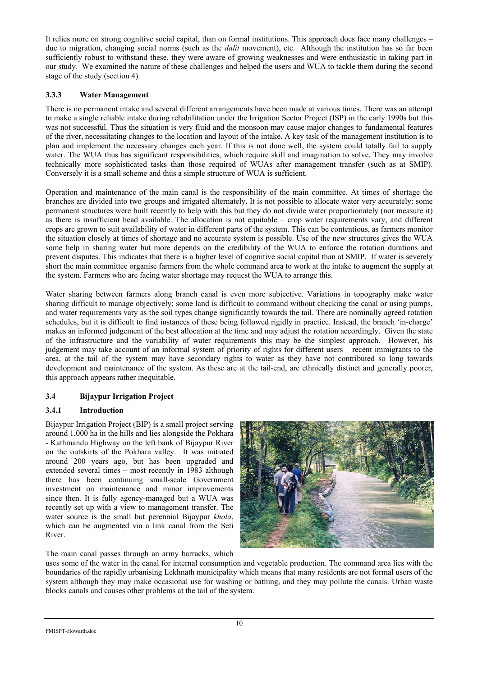It relies more on strong cognitive social capital, than on formal institutions. This approach does face many challenges – due to migration, changing social norms (such as the *dalit* movement), etc. Although the institution has so far been sufficiently robust to withstand these, they were aware of growing weaknesses and were enthusiastic in taking part in our study. We examined the nature of these challenges and helped the users and WUA to tackle them during the second stage of the study (section 4).

# **3.3.3 Water Management**

There is no permanent intake and several different arrangements have been made at various times. There was an attempt to make a single reliable intake during rehabilitation under the Irrigation Sector Project (ISP) in the early 1990s but this was not successful. Thus the situation is very fluid and the monsoon may cause major changes to fundamental features of the river, necessitating changes to the location and layout of the intake. A key task of the management institution is to plan and implement the necessary changes each year. If this is not done well, the system could totally fail to supply water. The WUA thus has significant responsibilities, which require skill and imagination to solve. They may involve technically more sophisticated tasks than those required of WUAs after management transfer (such as at SMIP). Conversely it is a small scheme and thus a simple structure of WUA is sufficient.

Operation and maintenance of the main canal is the responsibility of the main committee. At times of shortage the branches are divided into two groups and irrigated alternately. It is not possible to allocate water very accurately: some permanent structures were built recently to help with this but they do not divide water proportionately (nor measure it) as there is insufficient head available. The allocation is not equitable – crop water requirements vary, and different crops are grown to suit availability of water in different parts of the system. This can be contentious, as farmers monitor the situation closely at times of shortage and no accurate system is possible. Use of the new structures gives the WUA some help in sharing water but more depends on the credibility of the WUA to enforce the rotation durations and prevent disputes. This indicates that there is a higher level of cognitive social capital than at SMIP. If water is severely short the main committee organise farmers from the whole command area to work at the intake to augment the supply at the system. Farmers who are facing water shortage may request the WUA to arrange this.

Water sharing between farmers along branch canal is even more subjective. Variations in topography make water sharing difficult to manage objectively; some land is difficult to command without checking the canal or using pumps, and water requirements vary as the soil types change significantly towards the tail. There are nominally agreed rotation schedules, but it is difficult to find instances of these being followed rigidly in practice. Instead, the branch 'in-charge' makes an informed judgement of the best allocation at the time and may adjust the rotation accordingly. Given the state of the infrastructure and the variability of water requirements this may be the simplest approach. However, his judgement may take account of an informal system of priority of rights for different users – recent immigrants to the area, at the tail of the system may have secondary rights to water as they have not contributed so long towards development and maintenance of the system. As these are at the tail-end, are ethnically distinct and generally poorer, this approach appears rather inequitable.

# **3.4 Bijaypur Irrigation Project**

# **3.4.1 Introduction**

Bijaypur Irrigation Project (BIP) is a small project serving around 1,000 ha in the hills and lies alongside the Pokhara - Kathmandu Highway on the left bank of Bijaypur River on the outskirts of the Pokhara valley. It was initiated around 200 years ago, but has been upgraded and extended several times – most recently in 1983 although there has been continuing small-scale Government investment on maintenance and minor improvements since then. It is fully agency-managed but a WUA was recently set up with a view to management transfer. The water source is the small but perennial Bijaypur *khola*, which can be augmented via a link canal from the Seti River.



The main canal passes through an army barracks, which

uses some of the water in the canal for internal consumption and vegetable production. The command area lies with the boundaries of the rapidly urbanising Lekhnath municipality which means that many residents are not formal users of the system although they may make occasional use for washing or bathing, and they may pollute the canals. Urban waste blocks canals and causes other problems at the tail of the system.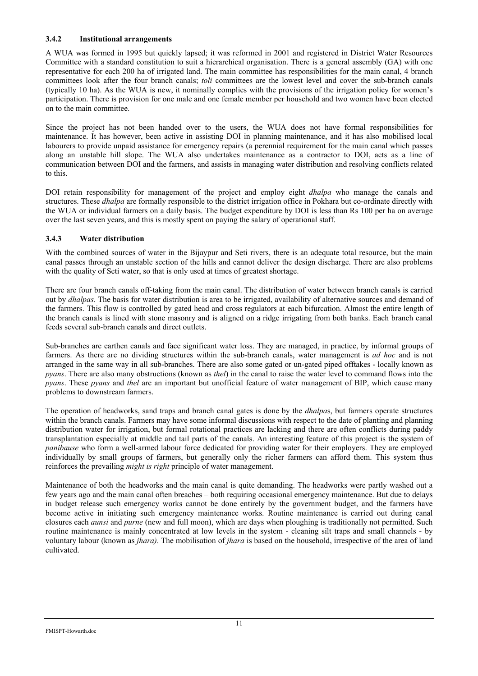## **3.4.2 Institutional arrangements**

A WUA was formed in 1995 but quickly lapsed; it was reformed in 2001 and registered in District Water Resources Committee with a standard constitution to suit a hierarchical organisation. There is a general assembly (GA) with one representative for each 200 ha of irrigated land. The main committee has responsibilities for the main canal, 4 branch committees look after the four branch canals; *toli* committees are the lowest level and cover the sub-branch canals (typically 10 ha). As the WUA is new, it nominally complies with the provisions of the irrigation policy for women's participation. There is provision for one male and one female member per household and two women have been elected on to the main committee.

Since the project has not been handed over to the users, the WUA does not have formal responsibilities for maintenance. It has however, been active in assisting DOI in planning maintenance, and it has also mobilised local labourers to provide unpaid assistance for emergency repairs (a perennial requirement for the main canal which passes along an unstable hill slope. The WUA also undertakes maintenance as a contractor to DOI, acts as a line of communication between DOI and the farmers, and assists in managing water distribution and resolving conflicts related to this.

DOI retain responsibility for management of the project and employ eight *dhalpa* who manage the canals and structures. These *dhalpa* are formally responsible to the district irrigation office in Pokhara but co-ordinate directly with the WUA or individual farmers on a daily basis. The budget expenditure by DOI is less than Rs 100 per ha on average over the last seven years, and this is mostly spent on paying the salary of operational staff.

## **3.4.3 Water distribution**

With the combined sources of water in the Bijaypur and Seti rivers, there is an adequate total resource, but the main canal passes through an unstable section of the hills and cannot deliver the design discharge. There are also problems with the quality of Seti water, so that is only used at times of greatest shortage.

There are four branch canals off-taking from the main canal. The distribution of water between branch canals is carried out by *dhalpas.* The basis for water distribution is area to be irrigated, availability of alternative sources and demand of the farmers. This flow is controlled by gated head and cross regulators at each bifurcation. Almost the entire length of the branch canals is lined with stone masonry and is aligned on a ridge irrigating from both banks. Each branch canal feeds several sub-branch canals and direct outlets.

Sub-branches are earthen canals and face significant water loss. They are managed, in practice, by informal groups of farmers. As there are no dividing structures within the sub-branch canals, water management is *ad hoc* and is not arranged in the same way in all sub-branches. There are also some gated or un-gated piped offtakes - locally known as *pyans*. There are also many obstructions (known as *thel*) in the canal to raise the water level to command flows into the *pyans*. These *pyans* and *thel* are an important but unofficial feature of water management of BIP, which cause many problems to downstream farmers.

The operation of headworks, sand traps and branch canal gates is done by the *dhalpa*s, but farmers operate structures within the branch canals. Farmers may have some informal discussions with respect to the date of planting and planning distribution water for irrigation, but formal rotational practices are lacking and there are often conflicts during paddy transplantation especially at middle and tail parts of the canals. An interesting feature of this project is the system of *panibause* who form a well-armed labour force dedicated for providing water for their employers. They are employed individually by small groups of farmers, but generally only the richer farmers can afford them. This system thus reinforces the prevailing *might is right* principle of water management.

Maintenance of both the headworks and the main canal is quite demanding. The headworks were partly washed out a few years ago and the main canal often breaches – both requiring occasional emergency maintenance. But due to delays in budget release such emergency works cannot be done entirely by the government budget, and the farmers have become active in initiating such emergency maintenance works. Routine maintenance is carried out during canal closures each *aunsi* and *purne* (new and full moon), which are days when ploughing is traditionally not permitted. Such routine maintenance is mainly concentrated at low levels in the system - cleaning silt traps and small channels - by voluntary labour (known as *jhara)*. The mobilisation of *jhara* is based on the household, irrespective of the area of land cultivated.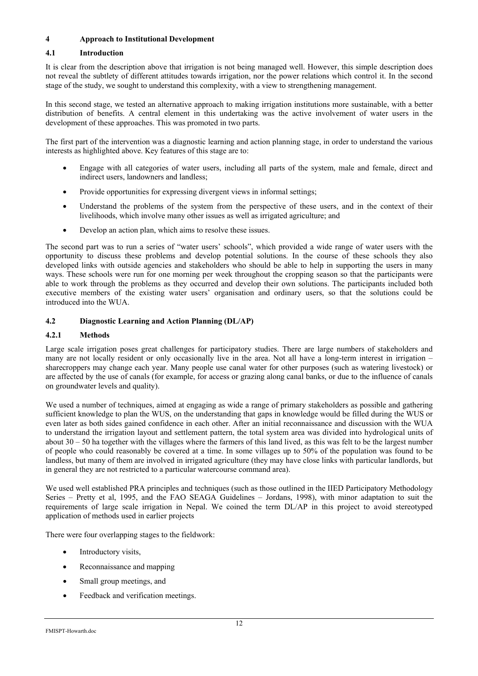# **4 Approach to Institutional Development**

# **4.1 Introduction**

It is clear from the description above that irrigation is not being managed well. However, this simple description does not reveal the subtlety of different attitudes towards irrigation, nor the power relations which control it. In the second stage of the study, we sought to understand this complexity, with a view to strengthening management.

In this second stage, we tested an alternative approach to making irrigation institutions more sustainable, with a better distribution of benefits. A central element in this undertaking was the active involvement of water users in the development of these approaches. This was promoted in two parts.

The first part of the intervention was a diagnostic learning and action planning stage, in order to understand the various interests as highlighted above. Key features of this stage are to:

- Engage with all categories of water users, including all parts of the system, male and female, direct and indirect users, landowners and landless;
- Provide opportunities for expressing divergent views in informal settings;
- Understand the problems of the system from the perspective of these users, and in the context of their livelihoods, which involve many other issues as well as irrigated agriculture; and
- Develop an action plan, which aims to resolve these issues.

The second part was to run a series of "water users' schools", which provided a wide range of water users with the opportunity to discuss these problems and develop potential solutions. In the course of these schools they also developed links with outside agencies and stakeholders who should be able to help in supporting the users in many ways. These schools were run for one morning per week throughout the cropping season so that the participants were able to work through the problems as they occurred and develop their own solutions. The participants included both executive members of the existing water users' organisation and ordinary users, so that the solutions could be introduced into the WUA.

# **4.2 Diagnostic Learning and Action Planning (DL/AP)**

# **4.2.1 Methods**

Large scale irrigation poses great challenges for participatory studies. There are large numbers of stakeholders and many are not locally resident or only occasionally live in the area. Not all have a long-term interest in irrigation – sharecroppers may change each year. Many people use canal water for other purposes (such as watering livestock) or are affected by the use of canals (for example, for access or grazing along canal banks, or due to the influence of canals on groundwater levels and quality).

We used a number of techniques, aimed at engaging as wide a range of primary stakeholders as possible and gathering sufficient knowledge to plan the WUS, on the understanding that gaps in knowledge would be filled during the WUS or even later as both sides gained confidence in each other. After an initial reconnaissance and discussion with the WUA to understand the irrigation layout and settlement pattern, the total system area was divided into hydrological units of about  $30 - 50$  ha together with the villages where the farmers of this land lived, as this was felt to be the largest number of people who could reasonably be covered at a time. In some villages up to 50% of the population was found to be landless, but many of them are involved in irrigated agriculture (they may have close links with particular landlords, but in general they are not restricted to a particular watercourse command area).

We used well established PRA principles and techniques (such as those outlined in the IIED Participatory Methodology Series – Pretty et al, 1995, and the FAO SEAGA Guidelines – Jordans, 1998), with minor adaptation to suit the requirements of large scale irrigation in Nepal. We coined the term DL/AP in this project to avoid stereotyped application of methods used in earlier projects

There were four overlapping stages to the fieldwork:

- Introductory visits,
- Reconnaissance and mapping
- Small group meetings, and
- Feedback and verification meetings.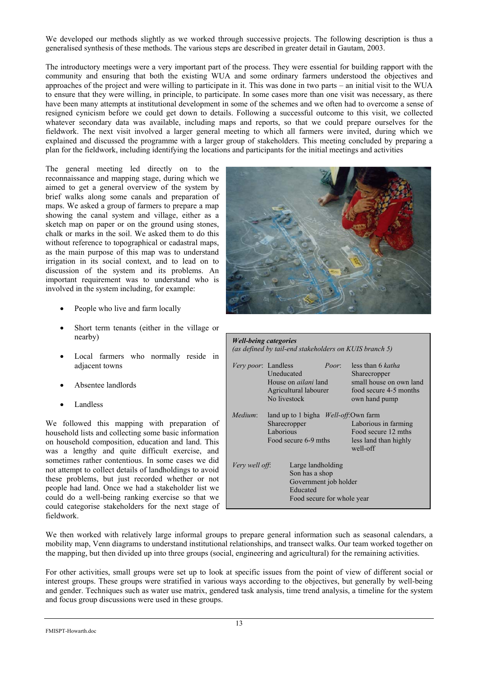We developed our methods slightly as we worked through successive projects. The following description is thus a generalised synthesis of these methods. The various steps are described in greater detail in Gautam, 2003.

The introductory meetings were a very important part of the process. They were essential for building rapport with the community and ensuring that both the existing WUA and some ordinary farmers understood the objectives and approaches of the project and were willing to participate in it. This was done in two parts – an initial visit to the WUA to ensure that they were willing, in principle, to participate. In some cases more than one visit was necessary, as there have been many attempts at institutional development in some of the schemes and we often had to overcome a sense of resigned cynicism before we could get down to details. Following a successful outcome to this visit, we collected whatever secondary data was available, including maps and reports, so that we could prepare ourselves for the fieldwork. The next visit involved a larger general meeting to which all farmers were invited, during which we explained and discussed the programme with a larger group of stakeholders. This meeting concluded by preparing a plan for the fieldwork, including identifying the locations and participants for the initial meetings and activities

The general meeting led directly on to the reconnaissance and mapping stage, during which we aimed to get a general overview of the system by brief walks along some canals and preparation of maps. We asked a group of farmers to prepare a map showing the canal system and village, either as a sketch map on paper or on the ground using stones, chalk or marks in the soil. We asked them to do this without reference to topographical or cadastral maps, as the main purpose of this map was to understand irrigation in its social context, and to lead on to discussion of the system and its problems. An important requirement was to understand who is involved in the system including, for example:

- People who live and farm locally
- Short term tenants (either in the village or nearby)
- Local farmers who normally reside in adjacent towns
- Absentee landlords
- **Landless**

We followed this mapping with preparation of household lists and collecting some basic information on household composition, education and land. This was a lengthy and quite difficult exercise, and sometimes rather contentious. In some cases we did not attempt to collect details of landholdings to avoid these problems, but just recorded whether or not people had land. Once we had a stakeholder list we could do a well-being ranking exercise so that we could categorise stakeholders for the next stage of fieldwork.



| less than 6 katha<br>Poor:<br><i>Very poor</i> : Landless<br><b>Uneducated</b><br>Sharecropper<br>House on <i>ailani</i> land<br>Agricultural labourer<br>No livestock<br>own hand pump |  |         | <i>Well-being categories</i><br>(as defined by tail-end stakeholders on KUIS branch 5) |                                                   |
|-----------------------------------------------------------------------------------------------------------------------------------------------------------------------------------------|--|---------|----------------------------------------------------------------------------------------|---------------------------------------------------|
|                                                                                                                                                                                         |  |         |                                                                                        | small house on own land<br>food secure 4-5 months |
| land up to 1 bigha <i>Well-off:</i> Own farm<br>Sharecropper<br>Laborious in farming<br>Laborious<br>Food secure 12 mths<br>Food secure 6-9 mths<br>less land than highly<br>well-off   |  | Medium: |                                                                                        |                                                   |
| Large landholding<br>Very well off:<br>Son has a shop<br>Government job holder<br>Educated<br>Food secure for whole year                                                                |  |         |                                                                                        |                                                   |

We then worked with relatively large informal groups to prepare general information such as seasonal calendars, a mobility map, Venn diagrams to understand institutional relationships, and transect walks. Our team worked together on the mapping, but then divided up into three groups (social, engineering and agricultural) for the remaining activities.

For other activities, small groups were set up to look at specific issues from the point of view of different social or interest groups. These groups were stratified in various ways according to the objectives, but generally by well-being and gender. Techniques such as water use matrix, gendered task analysis, time trend analysis, a timeline for the system and focus group discussions were used in these groups.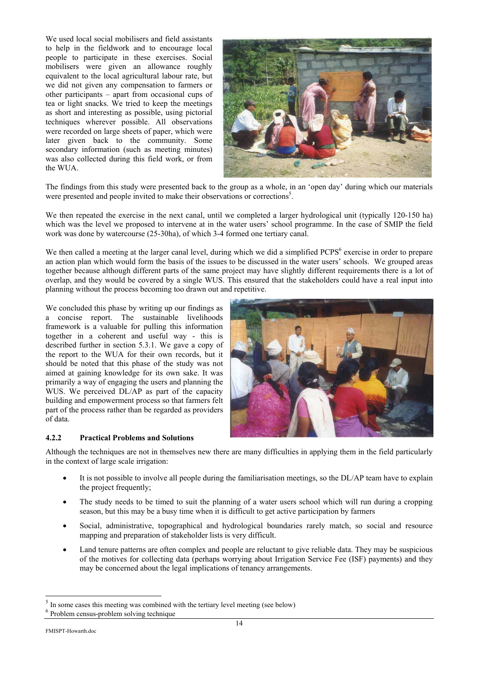We used local social mobilisers and field assistants to help in the fieldwork and to encourage local people to participate in these exercises. Social mobilisers were given an allowance roughly equivalent to the local agricultural labour rate, but we did not given any compensation to farmers or other participants – apart from occasional cups of tea or light snacks. We tried to keep the meetings as short and interesting as possible, using pictorial techniques wherever possible. All observations were recorded on large sheets of paper, which were later given back to the community. Some secondary information (such as meeting minutes) was also collected during this field work, or from the WUA.



The findings from this study were presented back to the group as a whole, in an 'open day' during which our materials were presented and people invited to make their observations or corrections<sup>5</sup>.

We then repeated the exercise in the next canal, until we completed a larger hydrological unit (typically 120-150 ha) which was the level we proposed to intervene at in the water users' school programme. In the case of SMIP the field work was done by watercourse (25-30ha), of which 3-4 formed one tertiary canal.

We then called a meeting at the larger canal level, during which we did a simplified PCPS<sup>6</sup> exercise in order to prepare an action plan which would form the basis of the issues to be discussed in the water users' schools. We grouped areas together because although different parts of the same project may have slightly different requirements there is a lot of overlap, and they would be covered by a single WUS. This ensured that the stakeholders could have a real input into planning without the process becoming too drawn out and repetitive.

We concluded this phase by writing up our findings as a concise report. The sustainable livelihoods framework is a valuable for pulling this information together in a coherent and useful way - this is described further in section 5.3.1. We gave a copy of the report to the WUA for their own records, but it should be noted that this phase of the study was not aimed at gaining knowledge for its own sake. It was primarily a way of engaging the users and planning the WUS. We perceived DL/AP as part of the capacity building and empowerment process so that farmers felt part of the process rather than be regarded as providers of data.



# **4.2.2 Practical Problems and Solutions**

Although the techniques are not in themselves new there are many difficulties in applying them in the field particularly in the context of large scale irrigation:

- It is not possible to involve all people during the familiarisation meetings, so the DL/AP team have to explain the project frequently;
- The study needs to be timed to suit the planning of a water users school which will run during a cropping season, but this may be a busy time when it is difficult to get active participation by farmers
- Social, administrative, topographical and hydrological boundaries rarely match, so social and resource mapping and preparation of stakeholder lists is very difficult.
- Land tenure patterns are often complex and people are reluctant to give reliable data. They may be suspicious of the motives for collecting data (perhaps worrying about Irrigation Service Fee (ISF) payments) and they may be concerned about the legal implications of tenancy arrangements.

 $\overline{a}$ 

<sup>5</sup> In some cases this meeting was combined with the tertiary level meeting (see below)

<sup>6</sup> Problem census-problem solving technique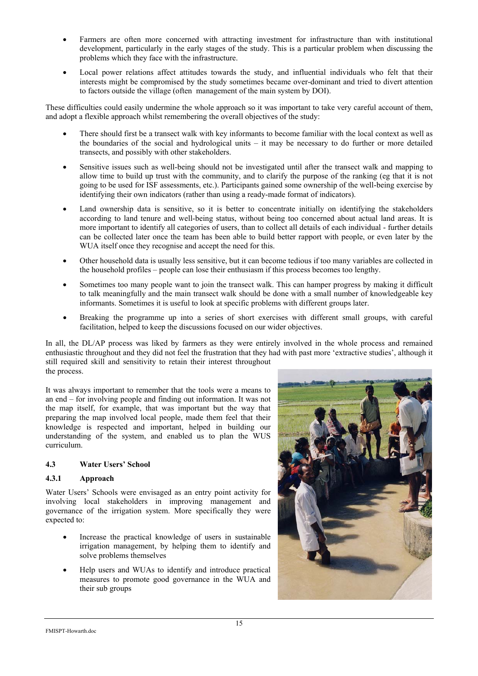- Farmers are often more concerned with attracting investment for infrastructure than with institutional development, particularly in the early stages of the study. This is a particular problem when discussing the problems which they face with the infrastructure.
- Local power relations affect attitudes towards the study, and influential individuals who felt that their interests might be compromised by the study sometimes became over-dominant and tried to divert attention to factors outside the village (often management of the main system by DOI).

These difficulties could easily undermine the whole approach so it was important to take very careful account of them, and adopt a flexible approach whilst remembering the overall objectives of the study:

- There should first be a transect walk with key informants to become familiar with the local context as well as the boundaries of the social and hydrological units – it may be necessary to do further or more detailed transects, and possibly with other stakeholders.
- Sensitive issues such as well-being should not be investigated until after the transect walk and mapping to allow time to build up trust with the community, and to clarify the purpose of the ranking (eg that it is not going to be used for ISF assessments, etc.). Participants gained some ownership of the well-being exercise by identifying their own indicators (rather than using a ready-made format of indicators).
- Land ownership data is sensitive, so it is better to concentrate initially on identifying the stakeholders according to land tenure and well-being status, without being too concerned about actual land areas. It is more important to identify all categories of users, than to collect all details of each individual - further details can be collected later once the team has been able to build better rapport with people, or even later by the WUA itself once they recognise and accept the need for this.
- Other household data is usually less sensitive, but it can become tedious if too many variables are collected in the household profiles – people can lose their enthusiasm if this process becomes too lengthy.
- Sometimes too many people want to join the transect walk. This can hamper progress by making it difficult to talk meaningfully and the main transect walk should be done with a small number of knowledgeable key informants. Sometimes it is useful to look at specific problems with different groups later.
- Breaking the programme up into a series of short exercises with different small groups, with careful facilitation, helped to keep the discussions focused on our wider objectives.

In all, the DL/AP process was liked by farmers as they were entirely involved in the whole process and remained enthusiastic throughout and they did not feel the frustration that they had with past more 'extractive studies', although it still required skill and sensitivity to retain their interest throughout the process.

It was always important to remember that the tools were a means to an end – for involving people and finding out information. It was not the map itself, for example, that was important but the way that preparing the map involved local people, made them feel that their knowledge is respected and important, helped in building our understanding of the system, and enabled us to plan the WUS curriculum.

# **4.3 Water Users' School**

# **4.3.1 Approach**

Water Users' Schools were envisaged as an entry point activity for involving local stakeholders in improving management and governance of the irrigation system. More specifically they were expected to:

- Increase the practical knowledge of users in sustainable irrigation management, by helping them to identify and solve problems themselves
- Help users and WUAs to identify and introduce practical measures to promote good governance in the WUA and their sub groups

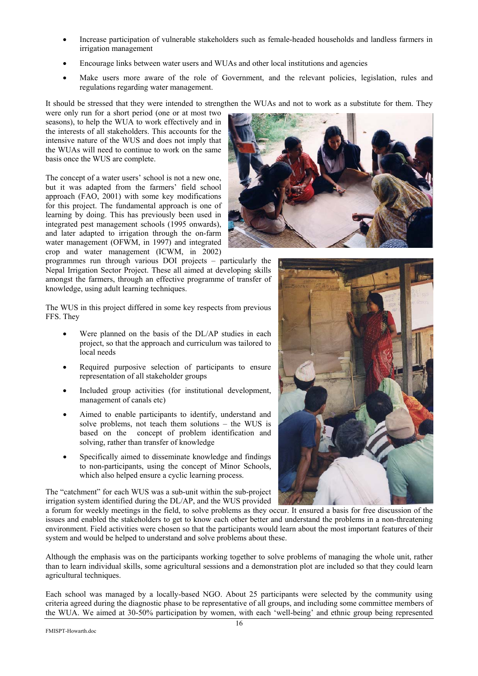- Increase participation of vulnerable stakeholders such as female-headed households and landless farmers in irrigation management
- Encourage links between water users and WUAs and other local institutions and agencies
- Make users more aware of the role of Government, and the relevant policies, legislation, rules and regulations regarding water management.

It should be stressed that they were intended to strengthen the WUAs and not to work as a substitute for them. They

were only run for a short period (one or at most two seasons), to help the WUA to work effectively and in the interests of all stakeholders. This accounts for the intensive nature of the WUS and does not imply that the WUAs will need to continue to work on the same basis once the WUS are complete.

The concept of a water users' school is not a new one, but it was adapted from the farmers' field school approach (FAO, 2001) with some key modifications for this project. The fundamental approach is one of learning by doing. This has previously been used in integrated pest management schools (1995 onwards), and later adapted to irrigation through the on-farm water management (OFWM, in 1997) and integrated crop and water management (ICWM, in 2002)

programmes run through various DOI projects – particularly the Nepal Irrigation Sector Project. These all aimed at developing skills amongst the farmers, through an effective programme of transfer of knowledge, using adult learning techniques.

The WUS in this project differed in some key respects from previous FFS. They

- Were planned on the basis of the DL/AP studies in each project, so that the approach and curriculum was tailored to local needs
- Required purposive selection of participants to ensure representation of all stakeholder groups
- Included group activities (for institutional development, management of canals etc)
- Aimed to enable participants to identify, understand and solve problems, not teach them solutions – the WUS is based on the concept of problem identification and solving, rather than transfer of knowledge
- Specifically aimed to disseminate knowledge and findings to non-participants, using the concept of Minor Schools, which also helped ensure a cyclic learning process.

The "catchment" for each WUS was a sub-unit within the sub-project irrigation system identified during the DL/AP, and the WUS provided

a forum for weekly meetings in the field, to solve problems as they occur. It ensured a basis for free discussion of the issues and enabled the stakeholders to get to know each other better and understand the problems in a non-threatening environment. Field activities were chosen so that the participants would learn about the most important features of their system and would be helped to understand and solve problems about these.

Although the emphasis was on the participants working together to solve problems of managing the whole unit, rather than to learn individual skills, some agricultural sessions and a demonstration plot are included so that they could learn agricultural techniques.

Each school was managed by a locally-based NGO. About 25 participants were selected by the community using criteria agreed during the diagnostic phase to be representative of all groups, and including some committee members of the WUA. We aimed at 30-50% participation by women, with each 'well-being' and ethnic group being represented



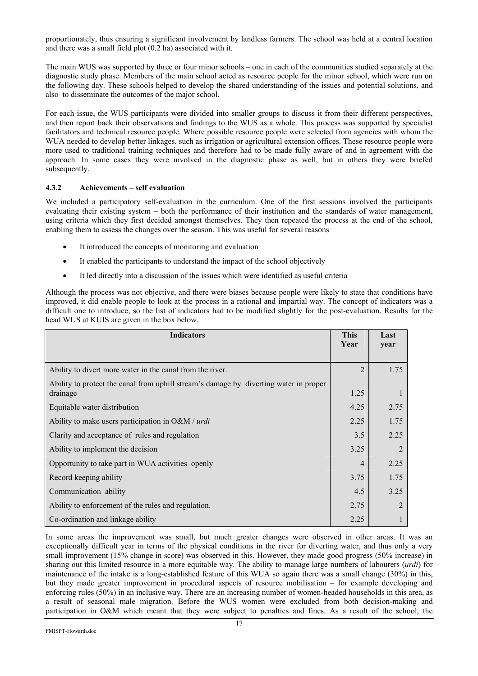proportionately, thus ensuring a significant involvement by landless farmers. The school was held at a central location and there was a small field plot  $(0.\overline{2})$  ha) associated with it.

The main WUS was supported by three or four minor schools – one in each of the communities studied separately at the diagnostic study phase. Members of the main school acted as resource people for the minor school, which were run on the following day. These schools helped to develop the shared understanding of the issues and potential solutions, and also to disseminate the outcomes of the major school.

For each issue, the WUS participants were divided into smaller groups to discuss it from their different perspectives, and then report back their observations and findings to the WUS as a whole. This process was supported by specialist facilitators and technical resource people. Where possible resource people were selected from agencies with whom the WUA needed to develop better linkages, such as irrigation or agricultural extension offices. These resource people were more used to traditional training techniques and therefore had to be made fully aware of and in agreement with the approach. In some cases they were involved in the diagnostic phase as well, but in others they were briefed subsequently.

## **4.3.2 Achievements – self evaluation**

We included a participatory self-evaluation in the curriculum. One of the first sessions involved the participants evaluating their existing system – both the performance of their institution and the standards of water management, using criteria which they first decided amongst themselves. They then repeated the process at the end of the school, enabling them to assess the changes over the season. This was useful for several reasons

- It introduced the concepts of monitoring and evaluation
- It enabled the participants to understand the impact of the school objectively
- It led directly into a discussion of the issues which were identified as useful criteria

Although the process was not objective, and there were biases because people were likely to state that conditions have improved, it did enable people to look at the process in a rational and impartial way. The concept of indicators was a difficult one to introduce, so the list of indicators had to be modified slightly for the post-evaluation. Results for the head WUS at KUIS are given in the box below.

| <b>Indicators</b>                                                                     | <b>This</b><br>Year | Last<br>year |
|---------------------------------------------------------------------------------------|---------------------|--------------|
|                                                                                       |                     |              |
| Ability to divert more water in the canal from the river.                             | $\overline{2}$      | 1.75         |
| Ability to protect the canal from uphill stream's damage by diverting water in proper |                     |              |
| drainage                                                                              | 1.25                |              |
| Equitable water distribution                                                          | 4.25                | 2.75         |
| Ability to make users participation in $O\&M / urdi$                                  | 2.25                | 1.75         |
| Clarity and acceptance of rules and regulation                                        | 3.5                 | 2.25         |
| Ability to implement the decision                                                     | 3.25                |              |
| Opportunity to take part in WUA activities openly                                     | 4                   | 2.25         |
| Record keeping ability                                                                | 3.75                | 1.75         |
| Communication ability                                                                 | 4.5                 | 3.25         |
| Ability to enforcement of the rules and regulation.                                   | 2.75                |              |
| Co-ordination and linkage ability                                                     | 2.25                |              |

In some areas the improvement was small, but much greater changes were observed in other areas. It was an exceptionally difficult year in terms of the physical conditions in the river for diverting water, and thus only a very small improvement (15% change in score) was observed in this. However, they made good progress (50% increase) in sharing out this limited resource in a more equitable way. The ability to manage large numbers of labourers (*urdi*) for maintenance of the intake is a long-established feature of this WUA so again there was a small change (30%) in this, but they made greater improvement in procedural aspects of resource mobilisation – for example developing and enforcing rules (50%) in an inclusive way. There are an increasing number of women-headed households in this area, as a result of seasonal male migration. Before the WUS women were excluded from both decision-making and participation in O&M which meant that they were subject to penalties and fines. As a result of the school, the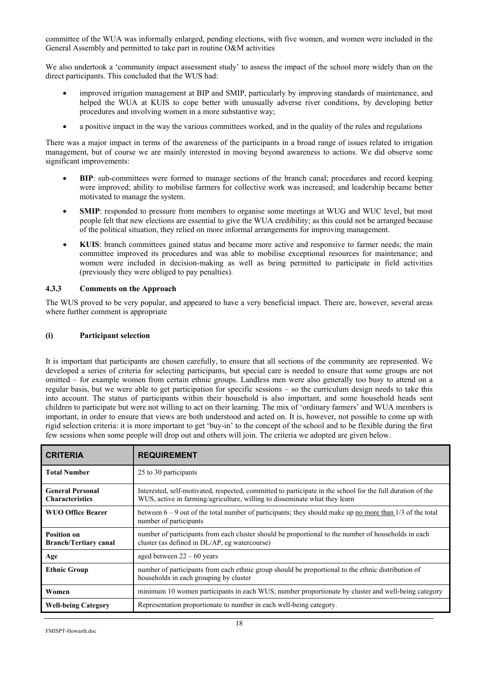committee of the WUA was informally enlarged, pending elections, with five women, and women were included in the General Assembly and permitted to take part in routine O&M activities

We also undertook a 'community impact assessment study' to assess the impact of the school more widely than on the direct participants. This concluded that the WUS had:

- improved irrigation management at BIP and SMIP, particularly by improving standards of maintenance, and helped the WUA at KUIS to cope better with unusually adverse river conditions, by developing better procedures and involving women in a more substantive way;
- a positive impact in the way the various committees worked, and in the quality of the rules and regulations

There was a major impact in terms of the awareness of the participants in a broad range of issues related to irrigation management, but of course we are mainly interested in moving beyond awareness to actions. We did observe some significant improvements:

- **BIP**: sub-committees were formed to manage sections of the branch canal; procedures and record keeping were improved; ability to mobilise farmers for collective work was increased; and leadership became better motivated to manage the system.
- **SMIP**: responded to pressure from members to organise some meetings at WUG and WUC level, but most people felt that new elections are essential to give the WUA credibility; as this could not be arranged because of the political situation, they relied on more informal arrangements for improving management.
- **KUIS**: branch committees gained status and became more active and responsive to farmer needs; the main committee improved its procedures and was able to mobilise exceptional resources for maintenance; and women were included in decision-making as well as being permitted to participate in field activities (previously they were obliged to pay penalties).

## **4.3.3 Comments on the Approach**

The WUS proved to be very popular, and appeared to have a very beneficial impact. There are, however, several areas where further comment is appropriate

#### **(i) Participant selection**

It is important that participants are chosen carefully, to ensure that all sections of the community are represented. We developed a series of criteria for selecting participants, but special care is needed to ensure that some groups are not omitted – for example women from certain ethnic groups. Landless men were also generally too busy to attend on a regular basis, but we were able to get participation for specific sessions – so the curriculum design needs to take this into account. The status of participants within their household is also important, and some household heads sent children to participate but were not willing to act on their learning. The mix of 'ordinary farmers' and WUA members is important, in order to ensure that views are both understood and acted on. It is, however, not possible to come up with rigid selection criteria: it is more important to get 'buy-in' to the concept of the school and to be flexible during the first few sessions when some people will drop out and others will join. The criteria we adopted are given below.

| <b>CRITERIA</b>                                    | <b>REQUIREMENT</b>                                                                                                                                                                       |
|----------------------------------------------------|------------------------------------------------------------------------------------------------------------------------------------------------------------------------------------------|
| <b>Total Number</b>                                | 25 to 30 participants                                                                                                                                                                    |
| <b>General Personal</b><br><b>Characteristics</b>  | Interested, self-motivated, respected, committed to participate in the school for the full duration of the<br>WUS, active in farming/agriculture, willing to disseminate what they learn |
| <b>WUO Office Bearer</b>                           | between $6 - 9$ out of the total number of participants; they should make up <u>no more than</u> $1/3$ of the total<br>number of participants                                            |
| <b>Position on</b><br><b>Branch/Tertiary canal</b> | number of participants from each cluster should be proportional to the number of households in each<br>cluster (as defined in DL/AP, eg watercourse)                                     |
| Age                                                | aged between $22 - 60$ years                                                                                                                                                             |
| <b>Ethnic Group</b>                                | number of participants from each ethnic group should be proportional to the ethnic distribution of<br>households in each grouping by cluster                                             |
| Women                                              | minimum 10 women participants in each WUS; number proportionate by cluster and well-being category                                                                                       |
| <b>Well-being Category</b>                         | Representation proportionate to number in each well-being category.                                                                                                                      |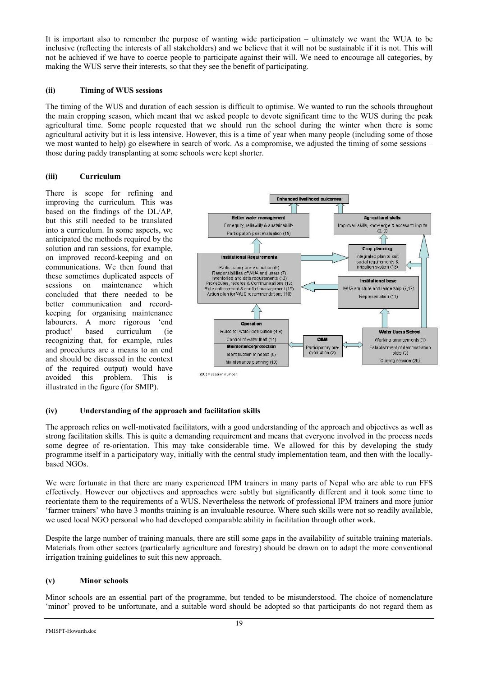It is important also to remember the purpose of wanting wide participation – ultimately we want the WUA to be inclusive (reflecting the interests of all stakeholders) and we believe that it will not be sustainable if it is not. This will not be achieved if we have to coerce people to participate against their will. We need to encourage all categories, by making the WUS serve their interests, so that they see the benefit of participating.

## **(ii) Timing of WUS sessions**

The timing of the WUS and duration of each session is difficult to optimise. We wanted to run the schools throughout the main cropping season, which meant that we asked people to devote significant time to the WUS during the peak agricultural time. Some people requested that we should run the school during the winter when there is some agricultural activity but it is less intensive. However, this is a time of year when many people (including some of those we most wanted to help) go elsewhere in search of work. As a compromise, we adjusted the timing of some sessions – those during paddy transplanting at some schools were kept shorter.

# **(iii) Curriculum**

There is scope for refining and improving the curriculum. This was based on the findings of the DL/AP, but this still needed to be translated into a curriculum. In some aspects, we anticipated the methods required by the solution and ran sessions, for example, on improved record-keeping and on communications. We then found that these sometimes duplicated aspects of sessions on maintenance which concluded that there needed to be better communication and recordkeeping for organising maintenance labourers. A more rigorous 'end product' based curriculum (ie recognizing that, for example, rules and procedures are a means to an end and should be discussed in the context of the required output) would have avoided this problem. This is illustrated in the figure (for SMIP).



# **(iv) Understanding of the approach and facilitation skills**

The approach relies on well-motivated facilitators, with a good understanding of the approach and objectives as well as strong facilitation skills. This is quite a demanding requirement and means that everyone involved in the process needs some degree of re-orientation. This may take considerable time. We allowed for this by developing the study programme itself in a participatory way, initially with the central study implementation team, and then with the locallybased NGOs.

We were fortunate in that there are many experienced IPM trainers in many parts of Nepal who are able to run FFS effectively. However our objectives and approaches were subtly but significantly different and it took some time to reorientate them to the requirements of a WUS. Nevertheless the network of professional IPM trainers and more junior 'farmer trainers' who have 3 months training is an invaluable resource. Where such skills were not so readily available, we used local NGO personal who had developed comparable ability in facilitation through other work.

Despite the large number of training manuals, there are still some gaps in the availability of suitable training materials. Materials from other sectors (particularly agriculture and forestry) should be drawn on to adapt the more conventional irrigation training guidelines to suit this new approach.

# **(v) Minor schools**

Minor schools are an essential part of the programme, but tended to be misunderstood. The choice of nomenclature 'minor' proved to be unfortunate, and a suitable word should be adopted so that participants do not regard them as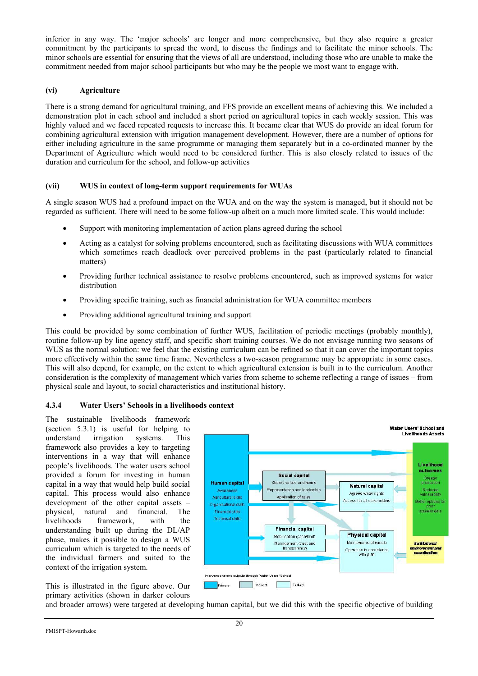inferior in any way. The 'major schools' are longer and more comprehensive, but they also require a greater commitment by the participants to spread the word, to discuss the findings and to facilitate the minor schools. The minor schools are essential for ensuring that the views of all are understood, including those who are unable to make the commitment needed from major school participants but who may be the people we most want to engage with.

## **(vi) Agriculture**

There is a strong demand for agricultural training, and FFS provide an excellent means of achieving this. We included a demonstration plot in each school and included a short period on agricultural topics in each weekly session. This was highly valued and we faced repeated requests to increase this. It became clear that WUS do provide an ideal forum for combining agricultural extension with irrigation management development. However, there are a number of options for either including agriculture in the same programme or managing them separately but in a co-ordinated manner by the Department of Agriculture which would need to be considered further. This is also closely related to issues of the duration and curriculum for the school, and follow-up activities

## **(vii) WUS in context of long-term support requirements for WUAs**

A single season WUS had a profound impact on the WUA and on the way the system is managed, but it should not be regarded as sufficient. There will need to be some follow-up albeit on a much more limited scale. This would include:

- Support with monitoring implementation of action plans agreed during the school
- Acting as a catalyst for solving problems encountered, such as facilitating discussions with WUA committees which sometimes reach deadlock over perceived problems in the past (particularly related to financial matters)
- Providing further technical assistance to resolve problems encountered, such as improved systems for water distribution
- Providing specific training, such as financial administration for WUA committee members
- Providing additional agricultural training and support

This could be provided by some combination of further WUS, facilitation of periodic meetings (probably monthly), routine follow-up by line agency staff, and specific short training courses. We do not envisage running two seasons of WUS as the normal solution: we feel that the existing curriculum can be refined so that it can cover the important topics more effectively within the same time frame. Nevertheless a two-season programme may be appropriate in some cases. This will also depend, for example, on the extent to which agricultural extension is built in to the curriculum. Another consideration is the complexity of management which varies from scheme to scheme reflecting a range of issues – from physical scale and layout, to social characteristics and institutional history.

# **4.3.4 Water Users' Schools in a livelihoods context**

The sustainable livelihoods framework (section 5.3.1) is useful for helping to understand irrigation systems. This understand irrigation systems. This framework also provides a key to targeting interventions in a way that will enhance people's livelihoods. The water users school provided a forum for investing in human capital in a way that would help build social capital. This process would also enhance development of the other capital assets – physical, natural and financial. The livelihoods framework, with the understanding built up during the DL/AP phase, makes it possible to design a WUS curriculum which is targeted to the needs of the individual farmers and suited to the context of the irrigation system.

This is illustrated in the figure above. Our primary activities (shown in darker colours



and broader arrows) were targeted at developing human capital, but we did this with the specific objective of building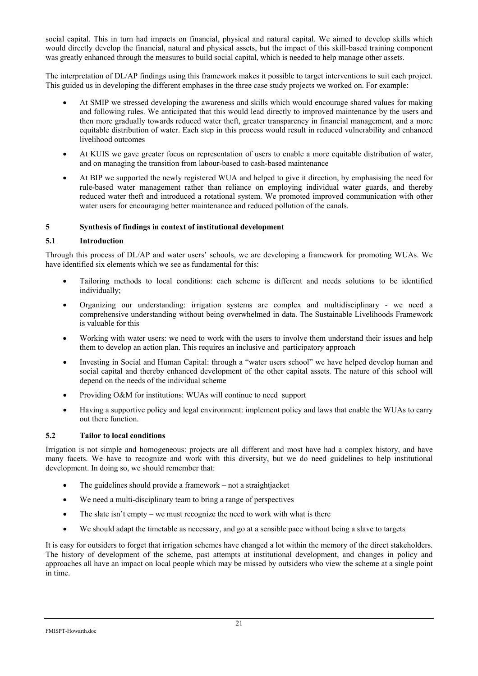social capital. This in turn had impacts on financial, physical and natural capital. We aimed to develop skills which would directly develop the financial, natural and physical assets, but the impact of this skill-based training component was greatly enhanced through the measures to build social capital, which is needed to help manage other assets.

The interpretation of DL/AP findings using this framework makes it possible to target interventions to suit each project. This guided us in developing the different emphases in the three case study projects we worked on. For example:

- At SMIP we stressed developing the awareness and skills which would encourage shared values for making and following rules. We anticipated that this would lead directly to improved maintenance by the users and then more gradually towards reduced water theft, greater transparency in financial management, and a more equitable distribution of water. Each step in this process would result in reduced vulnerability and enhanced livelihood outcomes
- At KUIS we gave greater focus on representation of users to enable a more equitable distribution of water, and on managing the transition from labour-based to cash-based maintenance
- At BIP we supported the newly registered WUA and helped to give it direction, by emphasising the need for rule-based water management rather than reliance on employing individual water guards, and thereby reduced water theft and introduced a rotational system. We promoted improved communication with other water users for encouraging better maintenance and reduced pollution of the canals.

## **5 Synthesis of findings in context of institutional development**

#### **5.1 Introduction**

Through this process of DL/AP and water users' schools, we are developing a framework for promoting WUAs. We have identified six elements which we see as fundamental for this:

- Tailoring methods to local conditions: each scheme is different and needs solutions to be identified individually;
- Organizing our understanding: irrigation systems are complex and multidisciplinary we need a comprehensive understanding without being overwhelmed in data. The Sustainable Livelihoods Framework is valuable for this
- Working with water users: we need to work with the users to involve them understand their issues and help them to develop an action plan. This requires an inclusive and participatory approach
- Investing in Social and Human Capital: through a "water users school" we have helped develop human and social capital and thereby enhanced development of the other capital assets. The nature of this school will depend on the needs of the individual scheme
- Providing O&M for institutions: WUAs will continue to need support
- Having a supportive policy and legal environment: implement policy and laws that enable the WUAs to carry out there function.

#### **5.2 Tailor to local conditions**

Irrigation is not simple and homogeneous: projects are all different and most have had a complex history, and have many facets. We have to recognize and work with this diversity, but we do need guidelines to help institutional development. In doing so, we should remember that:

- The guidelines should provide a framework not a straightjacket
- We need a multi-disciplinary team to bring a range of perspectives
- The slate isn't empty we must recognize the need to work with what is there
- We should adapt the timetable as necessary, and go at a sensible pace without being a slave to targets

It is easy for outsiders to forget that irrigation schemes have changed a lot within the memory of the direct stakeholders. The history of development of the scheme, past attempts at institutional development, and changes in policy and approaches all have an impact on local people which may be missed by outsiders who view the scheme at a single point in time.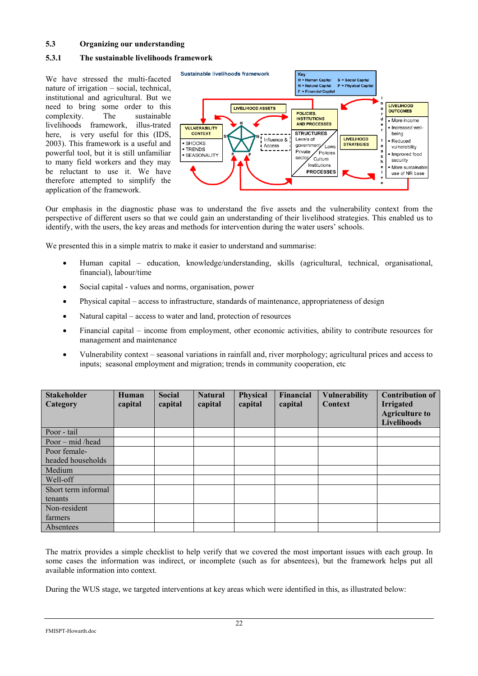## **5.3 Organizing our understanding**

## **5.3.1 The sustainable livelihoods framework**

We have stressed the multi-faceted nature of irrigation – social, technical, institutional and agricultural. But we need to bring some order to this complexity. The sustainable livelihoods framework, illus-trated here, is very useful for this (IDS, 2003). This framework is a useful and powerful tool, but it is still unfamiliar to many field workers and they may be reluctant to use it. We have therefore attempted to simplify the application of the framework.



Our emphasis in the diagnostic phase was to understand the five assets and the vulnerability context from the perspective of different users so that we could gain an understanding of their livelihood strategies. This enabled us to identify, with the users, the key areas and methods for intervention during the water users' schools.

We presented this in a simple matrix to make it easier to understand and summarise:

- Human capital education, knowledge/understanding, skills (agricultural, technical, organisational, financial), labour/time
- Social capital values and norms, organisation, power
- Physical capital access to infrastructure, standards of maintenance, appropriateness of design
- Natural capital access to water and land, protection of resources
- Financial capital income from employment, other economic activities, ability to contribute resources for management and maintenance
- Vulnerability context seasonal variations in rainfall and, river morphology; agricultural prices and access to inputs; seasonal employment and migration; trends in community cooperation, etc

| <b>Stakeholder</b><br>Category | Human<br>capital | <b>Social</b><br>capital | <b>Natural</b><br>capital | <b>Physical</b><br>capital | Financial<br>capital | <b>Vulnerability</b><br><b>Context</b> | <b>Contribution of</b><br><b>Irrigated</b><br><b>Agriculture to</b><br><b>Livelihoods</b> |
|--------------------------------|------------------|--------------------------|---------------------------|----------------------------|----------------------|----------------------------------------|-------------------------------------------------------------------------------------------|
| Poor - tail                    |                  |                          |                           |                            |                      |                                        |                                                                                           |
| Poor – mid /head               |                  |                          |                           |                            |                      |                                        |                                                                                           |
| Poor female-                   |                  |                          |                           |                            |                      |                                        |                                                                                           |
| headed households              |                  |                          |                           |                            |                      |                                        |                                                                                           |
| Medium                         |                  |                          |                           |                            |                      |                                        |                                                                                           |
| Well-off                       |                  |                          |                           |                            |                      |                                        |                                                                                           |
| Short term informal            |                  |                          |                           |                            |                      |                                        |                                                                                           |
| tenants                        |                  |                          |                           |                            |                      |                                        |                                                                                           |
| Non-resident                   |                  |                          |                           |                            |                      |                                        |                                                                                           |
| farmers                        |                  |                          |                           |                            |                      |                                        |                                                                                           |
| Absentees                      |                  |                          |                           |                            |                      |                                        |                                                                                           |

The matrix provides a simple checklist to help verify that we covered the most important issues with each group. In some cases the information was indirect, or incomplete (such as for absentees), but the framework helps put all available information into context.

During the WUS stage, we targeted interventions at key areas which were identified in this, as illustrated below: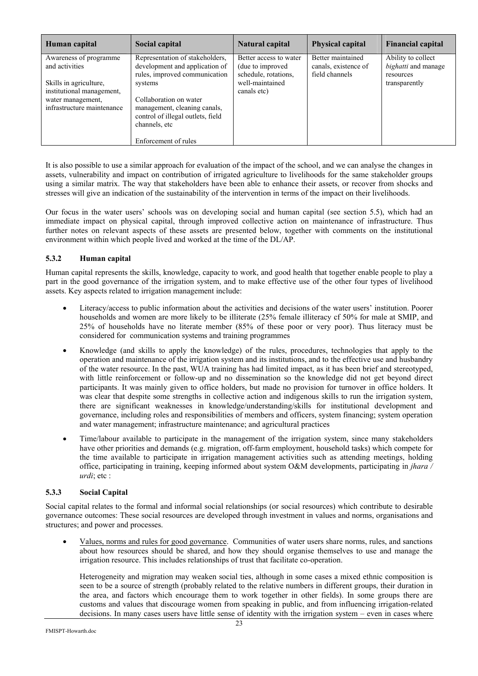| Human capital                                                                                                                                      | Social capital                                                                                                                                                                                                                                        | Natural capital                                                                                      | <b>Physical capital</b>                                     | <b>Financial capital</b>                                                |
|----------------------------------------------------------------------------------------------------------------------------------------------------|-------------------------------------------------------------------------------------------------------------------------------------------------------------------------------------------------------------------------------------------------------|------------------------------------------------------------------------------------------------------|-------------------------------------------------------------|-------------------------------------------------------------------------|
| Awareness of programme<br>and activities<br>Skills in agriculture,<br>institutional management.<br>water management,<br>infrastructure maintenance | Representation of stakeholders,<br>development and application of<br>rules, improved communication<br>systems<br>Collaboration on water<br>management, cleaning canals,<br>control of illegal outlets, field<br>channels, etc<br>Enforcement of rules | Better access to water<br>(due to improved<br>schedule, rotations,<br>well-maintained<br>canals etc) | Better maintained<br>canals, existence of<br>field channels | Ability to collect<br>bighatti and manage<br>resources<br>transparently |

It is also possible to use a similar approach for evaluation of the impact of the school, and we can analyse the changes in assets, vulnerability and impact on contribution of irrigated agriculture to livelihoods for the same stakeholder groups using a similar matrix. The way that stakeholders have been able to enhance their assets, or recover from shocks and stresses will give an indication of the sustainability of the intervention in terms of the impact on their livelihoods.

Our focus in the water users' schools was on developing social and human capital (see section 5.5), which had an immediate impact on physical capital, through improved collective action on maintenance of infrastructure. Thus further notes on relevant aspects of these assets are presented below, together with comments on the institutional environment within which people lived and worked at the time of the DL/AP.

# **5.3.2 Human capital**

Human capital represents the skills, knowledge, capacity to work, and good health that together enable people to play a part in the good governance of the irrigation system, and to make effective use of the other four types of livelihood assets. Key aspects related to irrigation management include:

- Literacy/access to public information about the activities and decisions of the water users' institution. Poorer households and women are more likely to be illiterate (25% female illiteracy of 50% for male at SMIP, and 25% of households have no literate member (85% of these poor or very poor). Thus literacy must be considered for communication systems and training programmes
- Knowledge (and skills to apply the knowledge) of the rules, procedures, technologies that apply to the operation and maintenance of the irrigation system and its institutions, and to the effective use and husbandry of the water resource. In the past, WUA training has had limited impact, as it has been brief and stereotyped, with little reinforcement or follow-up and no dissemination so the knowledge did not get beyond direct participants. It was mainly given to office holders, but made no provision for turnover in office holders. It was clear that despite some strengths in collective action and indigenous skills to run the irrigation system, there are significant weaknesses in knowledge/understanding/skills for institutional development and governance, including roles and responsibilities of members and officers, system financing; system operation and water management; infrastructure maintenance; and agricultural practices
- Time/labour available to participate in the management of the irrigation system, since many stakeholders have other priorities and demands (e.g. migration, off-farm employment, household tasks) which compete for the time available to participate in irrigation management activities such as attending meetings, holding office, participating in training, keeping informed about system O&M developments, participating in *jhara / urdi*; etc :

#### **5.3.3 Social Capital**

Social capital relates to the formal and informal social relationships (or social resources) which contribute to desirable governance outcomes: These social resources are developed through investment in values and norms, organisations and structures; and power and processes.

• Values, norms and rules for good governance. Communities of water users share norms, rules, and sanctions about how resources should be shared, and how they should organise themselves to use and manage the irrigation resource. This includes relationships of trust that facilitate co-operation.

Heterogeneity and migration may weaken social ties, although in some cases a mixed ethnic composition is seen to be a source of strength (probably related to the relative numbers in different groups, their duration in the area, and factors which encourage them to work together in other fields). In some groups there are customs and values that discourage women from speaking in public, and from influencing irrigation-related decisions. In many cases users have little sense of identity with the irrigation system – even in cases where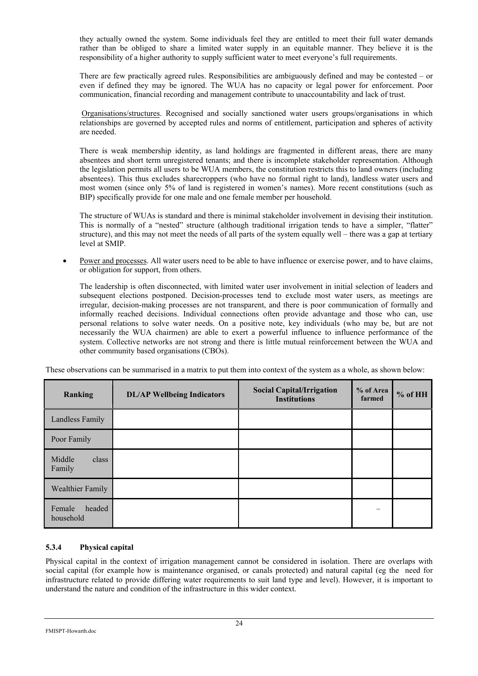they actually owned the system. Some individuals feel they are entitled to meet their full water demands rather than be obliged to share a limited water supply in an equitable manner. They believe it is the responsibility of a higher authority to supply sufficient water to meet everyone's full requirements.

There are few practically agreed rules. Responsibilities are ambiguously defined and may be contested – or even if defined they may be ignored. The WUA has no capacity or legal power for enforcement. Poor communication, financial recording and management contribute to unaccountability and lack of trust.

 Organisations/structures. Recognised and socially sanctioned water users groups/organisations in which relationships are governed by accepted rules and norms of entitlement, participation and spheres of activity are needed.

There is weak membership identity, as land holdings are fragmented in different areas, there are many absentees and short term unregistered tenants; and there is incomplete stakeholder representation. Although the legislation permits all users to be WUA members, the constitution restricts this to land owners (including absentees). This thus excludes sharecroppers (who have no formal right to land), landless water users and most women (since only 5% of land is registered in women's names). More recent constitutions (such as BIP) specifically provide for one male and one female member per household.

The structure of WUAs is standard and there is minimal stakeholder involvement in devising their institution. This is normally of a "nested" structure (although traditional irrigation tends to have a simpler, "flatter" structure), and this may not meet the needs of all parts of the system equally well – there was a gap at tertiary level at SMIP.

• Power and processes. All water users need to be able to have influence or exercise power, and to have claims, or obligation for support, from others.

The leadership is often disconnected, with limited water user involvement in initial selection of leaders and subsequent elections postponed. Decision-processes tend to exclude most water users, as meetings are irregular, decision-making processes are not transparent, and there is poor communication of formally and informally reached decisions. Individual connections often provide advantage and those who can, use personal relations to solve water needs. On a positive note, key individuals (who may be, but are not necessarily the WUA chairmen) are able to exert a powerful influence to influence performance of the system. Collective networks are not strong and there is little mutual reinforcement between the WUA and other community based organisations (CBOs).

These observations can be summarised in a matrix to put them into context of the system as a whole, as shown below:

| Ranking                       | <b>DL/AP Wellbeing Indicators</b> | <b>Social Capital/Irrigation</b><br><b>Institutions</b> | % of Area<br>farmed | $%$ of HH |
|-------------------------------|-----------------------------------|---------------------------------------------------------|---------------------|-----------|
| Landless Family               |                                   |                                                         |                     |           |
| Poor Family                   |                                   |                                                         |                     |           |
| Middle<br>class<br>Family     |                                   |                                                         |                     |           |
| Wealthier Family              |                                   |                                                         |                     |           |
| headed<br>Female<br>household |                                   |                                                         |                     |           |

# **5.3.4 Physical capital**

Physical capital in the context of irrigation management cannot be considered in isolation. There are overlaps with social capital (for example how is maintenance organised, or canals protected) and natural capital (eg the need for infrastructure related to provide differing water requirements to suit land type and level). However, it is important to understand the nature and condition of the infrastructure in this wider context.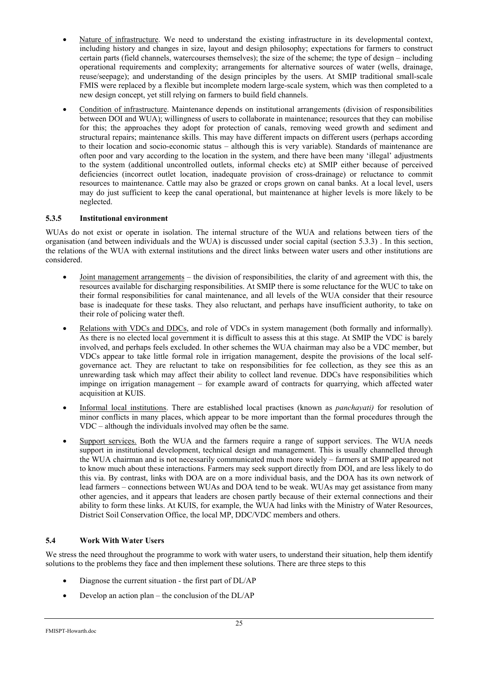- Nature of infrastructure. We need to understand the existing infrastructure in its developmental context, including history and changes in size, layout and design philosophy; expectations for farmers to construct certain parts (field channels, watercourses themselves); the size of the scheme; the type of design – including operational requirements and complexity; arrangements for alternative sources of water (wells, drainage, reuse/seepage); and understanding of the design principles by the users. At SMIP traditional small-scale FMIS were replaced by a flexible but incomplete modern large-scale system, which was then completed to a new design concept, yet still relying on farmers to build field channels.
- Condition of infrastructure. Maintenance depends on institutional arrangements (division of responsibilities between DOI and WUA); willingness of users to collaborate in maintenance; resources that they can mobilise for this; the approaches they adopt for protection of canals, removing weed growth and sediment and structural repairs; maintenance skills. This may have different impacts on different users (perhaps according to their location and socio-economic status – although this is very variable). Standards of maintenance are often poor and vary according to the location in the system, and there have been many 'illegal' adjustments to the system (additional uncontrolled outlets, informal checks etc) at SMIP either because of perceived deficiencies (incorrect outlet location, inadequate provision of cross-drainage) or reluctance to commit resources to maintenance. Cattle may also be grazed or crops grown on canal banks. At a local level, users may do just sufficient to keep the canal operational, but maintenance at higher levels is more likely to be neglected.

# **5.3.5 Institutional environment**

WUAs do not exist or operate in isolation. The internal structure of the WUA and relations between tiers of the organisation (and between individuals and the WUA) is discussed under social capital (section 5.3.3) . In this section, the relations of the WUA with external institutions and the direct links between water users and other institutions are considered.

- Joint management arrangements the division of responsibilities, the clarity of and agreement with this, the resources available for discharging responsibilities. At SMIP there is some reluctance for the WUC to take on their formal responsibilities for canal maintenance, and all levels of the WUA consider that their resource base is inadequate for these tasks. They also reluctant, and perhaps have insufficient authority, to take on their role of policing water theft.
- Relations with VDCs and DDCs, and role of VDCs in system management (both formally and informally). As there is no elected local government it is difficult to assess this at this stage. At SMIP the VDC is barely involved, and perhaps feels excluded. In other schemes the WUA chairman may also be a VDC member, but VDCs appear to take little formal role in irrigation management, despite the provisions of the local selfgovernance act. They are reluctant to take on responsibilities for fee collection, as they see this as an unrewarding task which may affect their ability to collect land revenue. DDCs have responsibilities which impinge on irrigation management – for example award of contracts for quarrying, which affected water acquisition at KUIS.
- Informal local institutions. There are established local practises (known as *panchayati)* for resolution of minor conflicts in many places, which appear to be more important than the formal procedures through the VDC – although the individuals involved may often be the same.
- Support services. Both the WUA and the farmers require a range of support services. The WUA needs support in institutional development, technical design and management. This is usually channelled through the WUA chairman and is not necessarily communicated much more widely – farmers at SMIP appeared not to know much about these interactions. Farmers may seek support directly from DOI, and are less likely to do this via. By contrast, links with DOA are on a more individual basis, and the DOA has its own network of lead farmers – connections between WUAs and DOA tend to be weak. WUAs may get assistance from many other agencies, and it appears that leaders are chosen partly because of their external connections and their ability to form these links. At KUIS, for example, the WUA had links with the Ministry of Water Resources, District Soil Conservation Office, the local MP, DDC/VDC members and others.

# **5.4 Work With Water Users**

We stress the need throughout the programme to work with water users, to understand their situation, help them identify solutions to the problems they face and then implement these solutions. There are three steps to this

- Diagnose the current situation the first part of DL/AP
- Develop an action plan the conclusion of the  $DL/AP$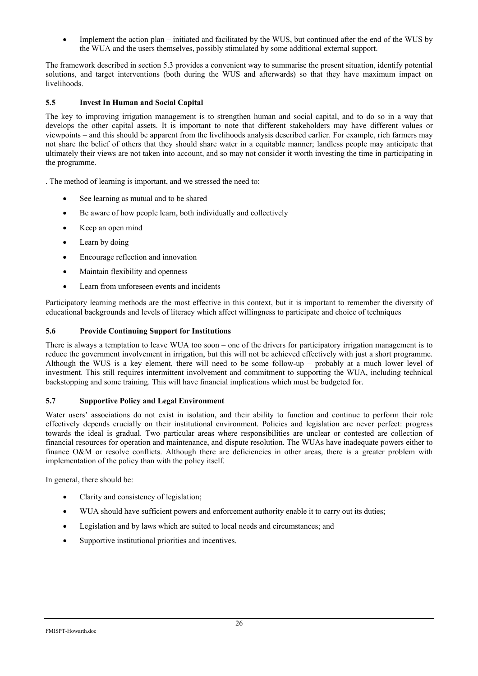Implement the action plan – initiated and facilitated by the WUS, but continued after the end of the WUS by the WUA and the users themselves, possibly stimulated by some additional external support.

The framework described in section 5.3 provides a convenient way to summarise the present situation, identify potential solutions, and target interventions (both during the WUS and afterwards) so that they have maximum impact on livelihoods.

# **5.5 Invest In Human and Social Capital**

The key to improving irrigation management is to strengthen human and social capital, and to do so in a way that develops the other capital assets. It is important to note that different stakeholders may have different values or viewpoints – and this should be apparent from the livelihoods analysis described earlier. For example, rich farmers may not share the belief of others that they should share water in a equitable manner; landless people may anticipate that ultimately their views are not taken into account, and so may not consider it worth investing the time in participating in the programme.

. The method of learning is important, and we stressed the need to:

- See learning as mutual and to be shared
- Be aware of how people learn, both individually and collectively
- Keep an open mind
- Learn by doing
- Encourage reflection and innovation
- Maintain flexibility and openness
- Learn from unforeseen events and incidents

Participatory learning methods are the most effective in this context, but it is important to remember the diversity of educational backgrounds and levels of literacy which affect willingness to participate and choice of techniques

# **5.6 Provide Continuing Support for Institutions**

There is always a temptation to leave WUA too soon – one of the drivers for participatory irrigation management is to reduce the government involvement in irrigation, but this will not be achieved effectively with just a short programme. Although the WUS is a key element, there will need to be some follow-up – probably at a much lower level of investment. This still requires intermittent involvement and commitment to supporting the WUA, including technical backstopping and some training. This will have financial implications which must be budgeted for.

# **5.7 Supportive Policy and Legal Environment**

Water users' associations do not exist in isolation, and their ability to function and continue to perform their role effectively depends crucially on their institutional environment. Policies and legislation are never perfect: progress towards the ideal is gradual. Two particular areas where responsibilities are unclear or contested are collection of financial resources for operation and maintenance, and dispute resolution. The WUAs have inadequate powers either to finance O&M or resolve conflicts. Although there are deficiencies in other areas, there is a greater problem with implementation of the policy than with the policy itself.

In general, there should be:

- Clarity and consistency of legislation;
- WUA should have sufficient powers and enforcement authority enable it to carry out its duties;
- Legislation and by laws which are suited to local needs and circumstances; and
- Supportive institutional priorities and incentives.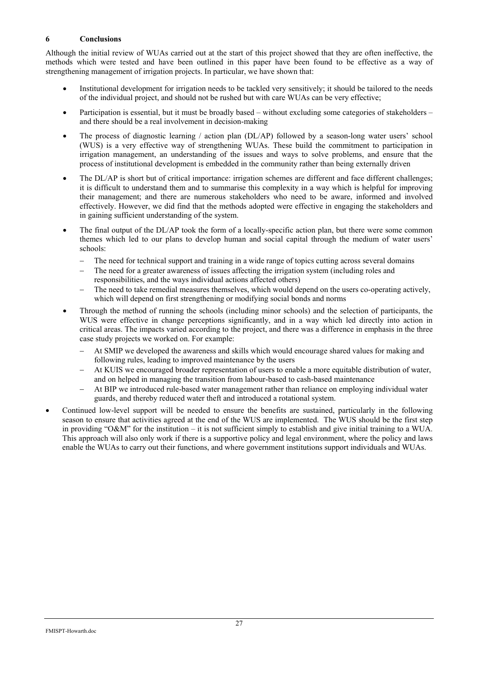## **6 Conclusions**

Although the initial review of WUAs carried out at the start of this project showed that they are often ineffective, the methods which were tested and have been outlined in this paper have been found to be effective as a way of strengthening management of irrigation projects. In particular, we have shown that:

- Institutional development for irrigation needs to be tackled very sensitively; it should be tailored to the needs of the individual project, and should not be rushed but with care WUAs can be very effective;
- Participation is essential, but it must be broadly based without excluding some categories of stakeholders and there should be a real involvement in decision-making
- The process of diagnostic learning / action plan (DL/AP) followed by a season-long water users' school (WUS) is a very effective way of strengthening WUAs. These build the commitment to participation in irrigation management, an understanding of the issues and ways to solve problems, and ensure that the process of institutional development is embedded in the community rather than being externally driven
- The DL/AP is short but of critical importance: irrigation schemes are different and face different challenges; it is difficult to understand them and to summarise this complexity in a way which is helpful for improving their management; and there are numerous stakeholders who need to be aware, informed and involved effectively. However, we did find that the methods adopted were effective in engaging the stakeholders and in gaining sufficient understanding of the system.
- The final output of the DL/AP took the form of a locally-specific action plan, but there were some common themes which led to our plans to develop human and social capital through the medium of water users' schools:
	- − The need for technical support and training in a wide range of topics cutting across several domains
	- The need for a greater awareness of issues affecting the irrigation system (including roles and responsibilities, and the ways individual actions affected others)
	- The need to take remedial measures themselves, which would depend on the users co-operating actively, which will depend on first strengthening or modifying social bonds and norms
- Through the method of running the schools (including minor schools) and the selection of participants, the WUS were effective in change perceptions significantly, and in a way which led directly into action in critical areas. The impacts varied according to the project, and there was a difference in emphasis in the three case study projects we worked on. For example:
	- At SMIP we developed the awareness and skills which would encourage shared values for making and following rules, leading to improved maintenance by the users
	- At KUIS we encouraged broader representation of users to enable a more equitable distribution of water, and on helped in managing the transition from labour-based to cash-based maintenance
	- At BIP we introduced rule-based water management rather than reliance on employing individual water guards, and thereby reduced water theft and introduced a rotational system.
- Continued low-level support will be needed to ensure the benefits are sustained, particularly in the following season to ensure that activities agreed at the end of the WUS are implemented. The WUS should be the first step in providing "O&M" for the institution – it is not sufficient simply to establish and give initial training to a WUA. This approach will also only work if there is a supportive policy and legal environment, where the policy and laws enable the WUAs to carry out their functions, and where government institutions support individuals and WUAs.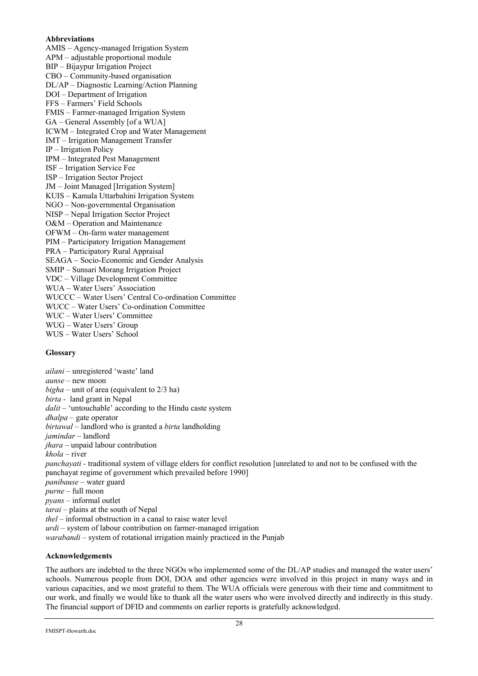#### **Abbreviations**

AMIS – Agency-managed Irrigation System APM – adjustable proportional module BIP – Bijaypur Irrigation Project CBO – Community-based organisation DL/AP – Diagnostic Learning/Action Planning DOI – Department of Irrigation FFS – Farmers' Field Schools FMIS – Farmer-managed Irrigation System GA – General Assembly [of a WUA] ICWM – Integrated Crop and Water Management IMT – Irrigation Management Transfer IP – Irrigation Policy IPM – Integrated Pest Management ISF – Irrigation Service Fee ISP – Irrigation Sector Project JM – Joint Managed [Irrigation System] KUIS – Kamala Uttarbahini Irrigation System NGO – Non-governmental Organisation NISP – Nepal Irrigation Sector Project O&M – Operation and Maintenance OFWM – On-farm water management PIM – Participatory Irrigation Management PRA – Participatory Rural Appraisal SEAGA – Socio-Economic and Gender Analysis SMIP – Sunsari Morang Irrigation Project VDC – Village Development Committee WUA – Water Users' Association WUCCC – Water Users' Central Co-ordination Committee WUCC – Water Users' Co-ordination Committee WUC – Water Users' Committee WUG – Water Users' Group WUS – Water Users' School

#### **Glossary**

*ailani* – unregistered 'waste' land *aunse* – new moon *bigha* – unit of area (equivalent to 2/3 ha) *birta -* land grant in Nepal *dalit* – 'untouchable' according to the Hindu caste system *dhalpa* – gate operator *birtawal –* landlord who is granted a *birta* landholding *jamindar –* landlord *jhara* – unpaid labour contribution *khola* – river *panchayati -* traditional system of village elders for conflict resolution [unrelated to and not to be confused with the panchayat regime of government which prevailed before 1990] *panibause* – water guard *purne* – full moon *pyans* – informal outlet *tarai –* plains at the south of Nepal *thel* – informal obstruction in a canal to raise water level *urdi* – system of labour contribution on farmer-managed irrigation *warabandi –* system of rotational irrigation mainly practiced in the Punjab

#### **Acknowledgements**

The authors are indebted to the three NGOs who implemented some of the DL/AP studies and managed the water users' schools. Numerous people from DOI, DOA and other agencies were involved in this project in many ways and in various capacities, and we most grateful to them. The WUA officials were generous with their time and commitment to our work, and finally we would like to thank all the water users who were involved directly and indirectly in this study. The financial support of DFID and comments on earlier reports is gratefully acknowledged.